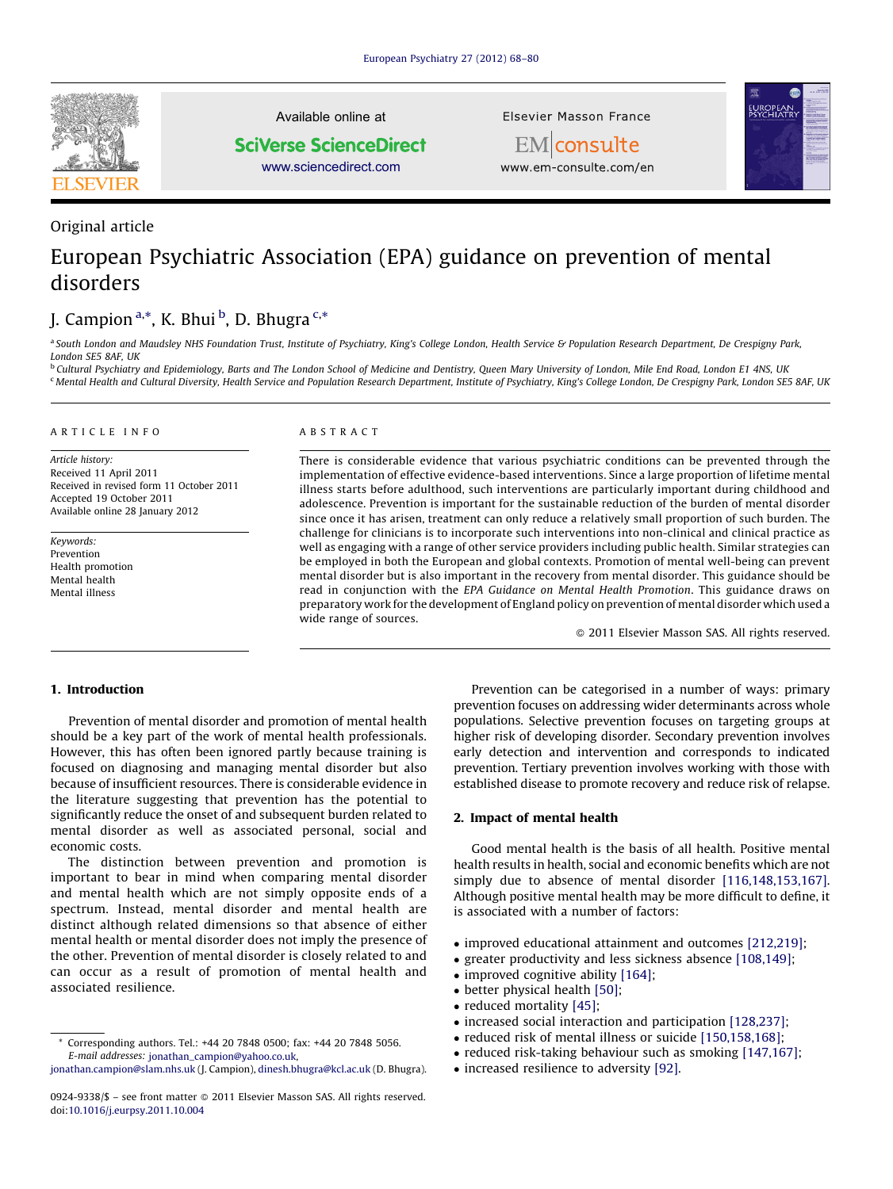

Original article

Available online at **SciVerse ScienceDirect** 

[www.sciencedirect.com](http://www.sciencedirect.com/science/journal/09249338)

Elsevier Masson France EM consulte



www.em-consulte.com/en

# European Psychiatric Association (EPA) guidance on prevention of mental disorders

# J. Campion <sup>a,\*</sup>, K. Bhui <sup>b</sup>, D. Bhugra <sup>c,\*</sup>

<sup>a</sup> South London and Maudsley NHS Foundation Trust, Institute of Psychiatry, King's College London, Health Service & Population Research Department, De Crespigny Park, London SE5 8AF, UK

<sup>b</sup> Cultural Psychiatry and Epidemiology, Barts and The London School of Medicine and Dentistry, Queen Mary University of London, Mile End Road, London E1 4NS, UK <sup>c</sup> Mental Health and Cultural Diversity, Health Service and Population Research Department, Institute of Psychiatry, King's College London, De Crespigny Park, London SE5 8AF, UK

# A R T I C L E I N F O

Article history: Received 11 April 2011 Received in revised form 11 October 2011 Accepted 19 October 2011 Available online 28 January 2012

Keywords: Prevention Health promotion Mental health Mental illness

# A B S T R A C T

There is considerable evidence that various psychiatric conditions can be prevented through the implementation of effective evidence-based interventions. Since a large proportion of lifetime mental illness starts before adulthood, such interventions are particularly important during childhood and adolescence. Prevention is important for the sustainable reduction of the burden of mental disorder since once it has arisen, treatment can only reduce a relatively small proportion of such burden. The challenge for clinicians is to incorporate such interventions into non-clinical and clinical practice as well as engaging with a range of other service providers including public health. Similar strategies can be employed in both the European and global contexts. Promotion of mental well-being can prevent mental disorder but is also important in the recovery from mental disorder. This guidance should be read in conjunction with the EPA Guidance on Mental Health Promotion. This guidance draws on preparatory work for the development of England policy on prevention of mental disorder which used a wide range of sources.

 $\odot$  2011 Elsevier Masson SAS. All rights reserved.

# 1. Introduction

Prevention of mental disorder and promotion of mental health should be a key part of the work of mental health professionals. However, this has often been ignored partly because training is focused on diagnosing and managing mental disorder but also because of insufficient resources. There is considerable evidence in the literature suggesting that prevention has the potential to significantly reduce the onset of and subsequent burden related to mental disorder as well as associated personal, social and economic costs.

The distinction between prevention and promotion is important to bear in mind when comparing mental disorder and mental health which are not simply opposite ends of a spectrum. Instead, mental disorder and mental health are distinct although related dimensions so that absence of either mental health or mental disorder does not imply the presence of the other. Prevention of mental disorder is closely related to and can occur as a result of promotion of mental health and associated resilience.

Prevention can be categorised in a number of ways: primary prevention focuses on addressing wider determinants across whole populations. Selective prevention focuses on targeting groups at higher risk of developing disorder. Secondary prevention involves early detection and intervention and corresponds to indicated prevention. Tertiary prevention involves working with those with established disease to promote recovery and reduce risk of relapse.

# 2. Impact of mental health

Good mental health is the basis of all health. Positive mental health results in health, social and economic benefits which are not simply due to absence of mental disorder [\[116,148,153,167\].](#page-8-0) Although positive mental health may be more difficult to define, it is associated with a number of factors:

- improved educational attainment and outcomes [\[212,219\];](#page-10-0)
- greater productivity and less sickness absence [\[108,149\];](#page-8-0)
- improved cognitive ability [\[164\];](#page-9-0)
- better physical health [\[50\]](#page-7-0);
- reduced mortality [\[45\];](#page-7-0)
- increased social interaction and participation [\[128,237\];](#page-9-0)
- reduced risk of mental illness or suicide [\[150,158,168\];](#page-9-0)
- reduced risk-taking behaviour such as smoking [\[147,167\]](#page-9-0);
- increased resilience to adversity [\[92\]](#page-8-0).

<sup>\*</sup> Corresponding authors. Tel.: +44 20 7848 0500; fax: +44 20 7848 5056. E-mail addresses: [jonathan\\_campion@yahoo.co.uk,](mailto:jonathan_campion@yahoo.co.uk)

[jonathan.campion@slam.nhs.uk](mailto:jonathan.campion@slam.nhs.uk) (J. Campion), [dinesh.bhugra@kcl.ac.uk](mailto:dinesh.bhugra@kcl.ac.uk) (D. Bhugra).

<sup>0924-9338/\$ –</sup> see front matter © 2011 Elsevier Masson SAS. All rights reserved. doi:[10.1016/j.eurpsy.2011.10.004](http://dx.doi.org/10.1016/j.eurpsy.2011.10.004)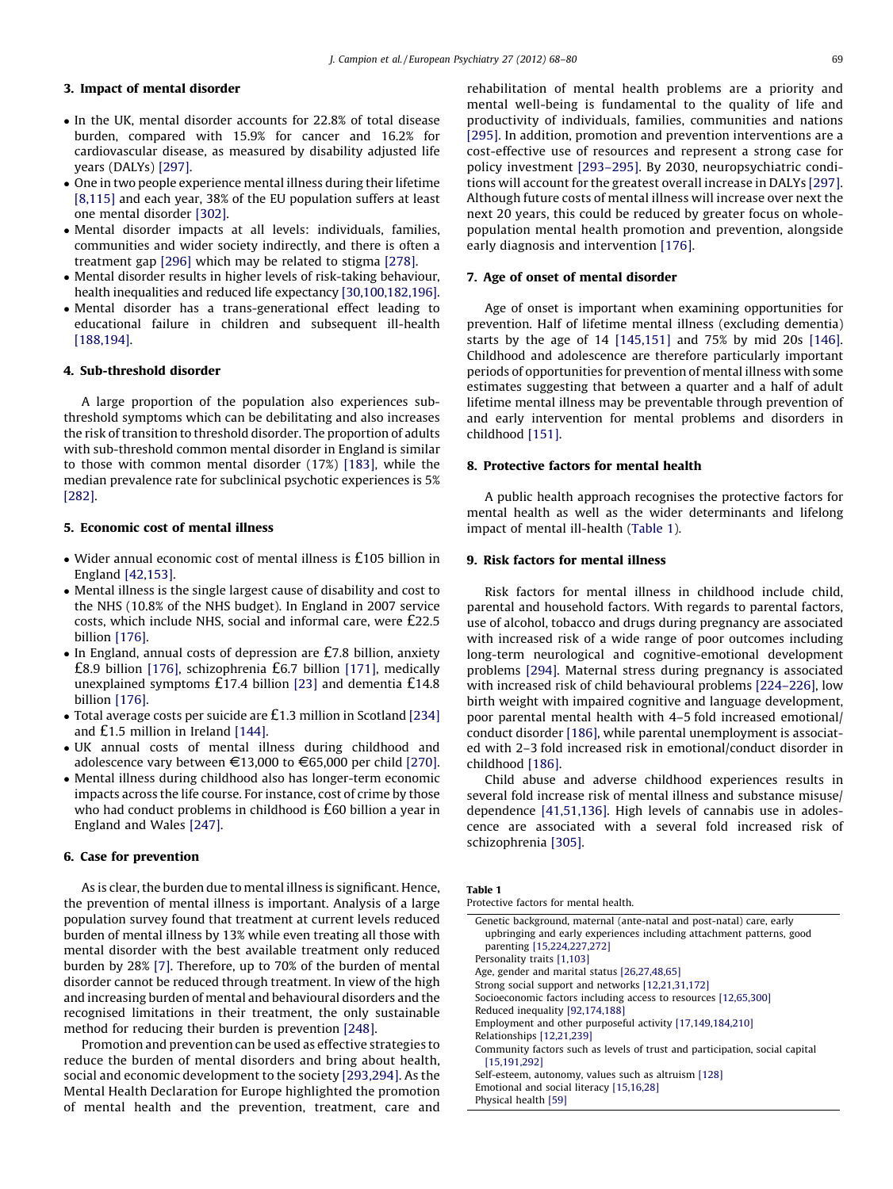# 3. Impact of mental disorder

- In the UK, mental disorder accounts for 22.8% of total disease burden, compared with 15.9% for cancer and 16.2% for cardiovascular disease, as measured by disability adjusted life years (DALYs) [\[297\]](#page-12-0).
- One in two people experience mental illness during their lifetime [\[8,115\]](#page-7-0) and each year, 38% of the EU population suffers at least one mental disorder [\[302\]](#page-12-0).
- Mental disorder impacts at all levels: individuals, families, communities and wider society indirectly, and there is often a treatment gap [\[296\]](#page-12-0) which may be related to stigma [\[278\]](#page-11-0).
- Mental disorder results in higher levels of risk-taking behaviour, health inequalities and reduced life expectancy [\[30,100,182,196\].](#page-7-0)
- Mental disorder has a trans-generational effect leading to educational failure in children and subsequent ill-health [\[188,194\].](#page-10-0)

#### 4. Sub-threshold disorder

A large proportion of the population also experiences subthreshold symptoms which can be debilitating and also increases the risk of transition to threshold disorder. The proportion of adults with sub-threshold common mental disorder in England is similar to those with common mental disorder (17%) [\[183\]](#page-10-0), while the median prevalence rate for subclinical psychotic experiences is 5% [\[282\]](#page-11-0).

# 5. Economic cost of mental illness

- Wider annual economic cost of mental illness is £105 billion in England [\[42,153\]](#page-7-0).
- Mental illness is the single largest cause of disability and cost to the NHS (10.8% of the NHS budget). In England in 2007 service costs, which include NHS, social and informal care, were £22.5 billion [\[176\]](#page-9-0).
- In England, annual costs of depression are £7.8 billion, anxiety £8.9 billion [\[176\]](#page-9-0), schizophrenia £6.7 billion [\[171\],](#page-9-0) medically unexplained symptoms £17.4 billion [\[23\]](#page-7-0) and dementia £14.8 billion [\[176\]](#page-9-0).
- Total average costs per suicide are £1.3 million in Scotland [\[234\]](#page-10-0) and £1.5 million in Ireland [\[144\]](#page-9-0).
- UK annual costs of mental illness during childhood and adolescence vary between  $\epsilon$ 13,000 to  $\epsilon$ 65,000 per child [\[270\].](#page-11-0)
- Mental illness during childhood also has longer-term economic impacts across the life course. For instance, cost of crime by those who had conduct problems in childhood is £60 billion a year in England and Wales [\[247\]](#page-11-0).

#### 6. Case for prevention

As is clear, the burden due to mental illness is significant. Hence, the prevention of mental illness is important. Analysis of a large population survey found that treatment at current levels reduced burden of mental illness by 13% while even treating all those with mental disorder with the best available treatment only reduced burden by 28% [\[7\]](#page-7-0). Therefore, up to 70% of the burden of mental disorder cannot be reduced through treatment. In view of the high and increasing burden of mental and behavioural disorders and the recognised limitations in their treatment, the only sustainable method for reducing their burden is prevention [\[248\].](#page-11-0)

Promotion and prevention can be used as effective strategies to reduce the burden of mental disorders and bring about health, social and economic development to the society [\[293,294\]](#page-11-0). As the Mental Health Declaration for Europe highlighted the promotion of mental health and the prevention, treatment, care and rehabilitation of mental health problems are a priority and mental well-being is fundamental to the quality of life and productivity of individuals, families, communities and nations [\[295\].](#page-12-0) In addition, promotion and prevention interventions are a cost-effective use of resources and represent a strong case for policy investment [\[293–295\]](#page-11-0). By 2030, neuropsychiatric conditions will account for the greatest overall increase in DALYs [\[297\].](#page-12-0) Although future costs of mental illness will increase over next the next 20 years, this could be reduced by greater focus on wholepopulation mental health promotion and prevention, alongside early diagnosis and intervention [\[176\].](#page-9-0)

# 7. Age of onset of mental disorder

Age of onset is important when examining opportunities for prevention. Half of lifetime mental illness (excluding dementia) starts by the age of 14 [\[145,151\]](#page-9-0) and 75% by mid 20s [\[146\].](#page-9-0) Childhood and adolescence are therefore particularly important periods of opportunities for prevention of mental illness with some estimates suggesting that between a quarter and a half of adult lifetime mental illness may be preventable through prevention of and early intervention for mental problems and disorders in childhood [\[151\].](#page-9-0)

# 8. Protective factors for mental health

A public health approach recognises the protective factors for mental health as well as the wider determinants and lifelong impact of mental ill-health (Table 1).

# 9. Risk factors for mental illness

Risk factors for mental illness in childhood include child, parental and household factors. With regards to parental factors, use of alcohol, tobacco and drugs during pregnancy are associated with increased risk of a wide range of poor outcomes including long-term neurological and cognitive-emotional development problems [\[294\].](#page-11-0) Maternal stress during pregnancy is associated with increased risk of child behavioural problems [\[224–226\]](#page-10-0), low birth weight with impaired cognitive and language development, poor parental mental health with 4–5 fold increased emotional/ conduct disorder [\[186\],](#page-10-0) while parental unemployment is associated with 2–3 fold increased risk in emotional/conduct disorder in childhood [\[186\].](#page-10-0)

Child abuse and adverse childhood experiences results in several fold increase risk of mental illness and substance misuse/ dependence [\[41,51,136\].](#page-7-0) High levels of cannabis use in adolescence are associated with a several fold increased risk of schizophrenia [\[305\]](#page-12-0).

| Table 1                               |  |  |
|---------------------------------------|--|--|
| Protective factors for mental health. |  |  |

| Genetic background, maternal (ante-natal and post-natal) care, early        |  |  |
|-----------------------------------------------------------------------------|--|--|
| upbringing and early experiences including attachment patterns, good        |  |  |
| parenting [15,224,227,272]                                                  |  |  |
| Personality traits [1,103]                                                  |  |  |
| Age, gender and marital status [26,27,48,65]                                |  |  |
| Strong social support and networks [12,21,31,172]                           |  |  |
| Socioeconomic factors including access to resources [12,65,300]             |  |  |
| Reduced inequality [92,174,188]                                             |  |  |
| Employment and other purposeful activity [17,149,184,210]                   |  |  |
| Relationships [12,21,239]                                                   |  |  |
| Community factors such as levels of trust and participation, social capital |  |  |
| [15, 191, 292]                                                              |  |  |
| Self-esteem, autonomy, values such as altruism [128]                        |  |  |
| Emotional and social literacy [15,16,28]                                    |  |  |
| Physical health [59]                                                        |  |  |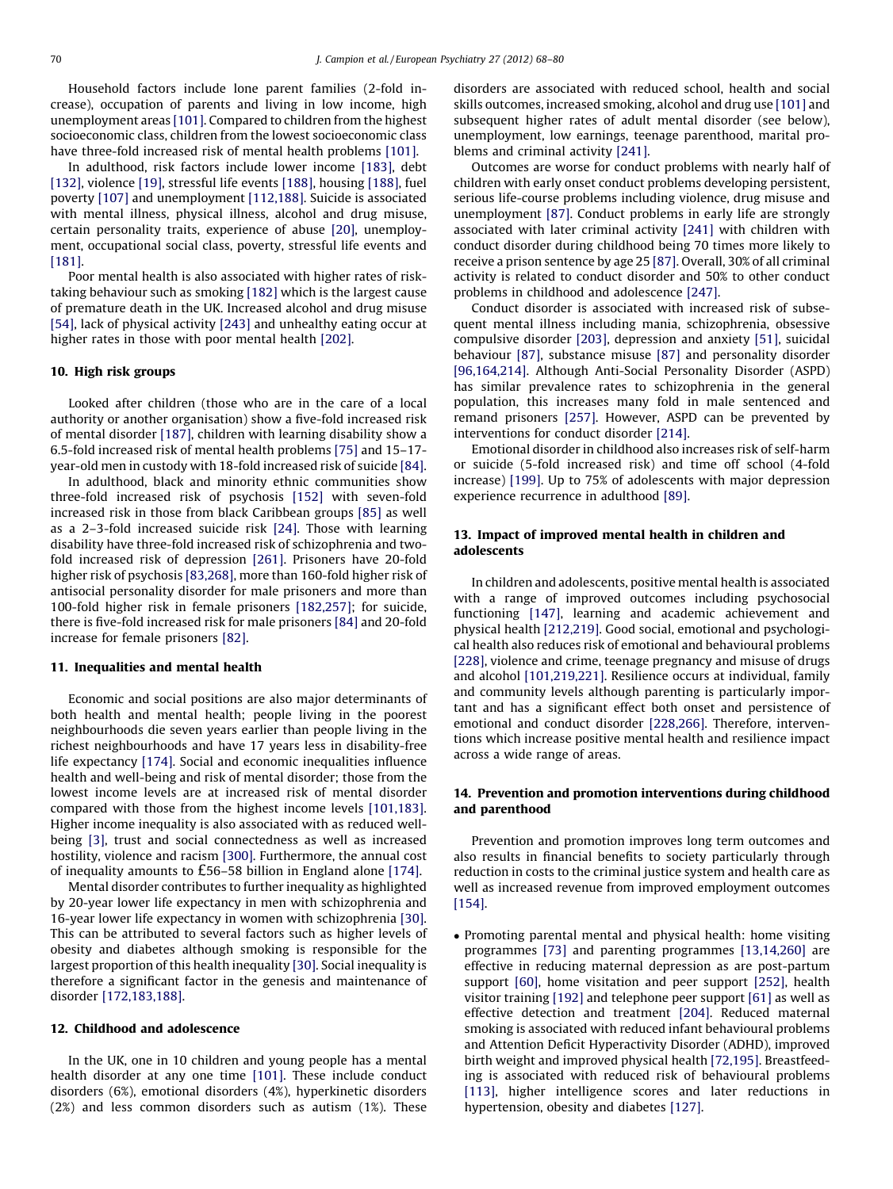Household factors include lone parent families (2-fold increase), occupation of parents and living in low income, high unemployment areas [\[101\].](#page-8-0) Compared to children from the highest socioeconomic class, children from the lowest socioeconomic class have three-fold increased risk of mental health problems [\[101\].](#page-8-0)

In adulthood, risk factors include lower income [\[183\],](#page-10-0) debt [\[132\]](#page-9-0), violence [\[19\]](#page-7-0), stressful life events [\[188\],](#page-10-0) housing [\[188\]](#page-10-0), fuel poverty [\[107\]](#page-8-0) and unemployment [\[112,188\].](#page-8-0) Suicide is associated with mental illness, physical illness, alcohol and drug misuse, certain personality traits, experience of abuse [\[20\],](#page-7-0) unemployment, occupational social class, poverty, stressful life events and [\[181\]](#page-10-0).

Poor mental health is also associated with higher rates of risktaking behaviour such as smoking [\[182\]](#page-10-0) which is the largest cause of premature death in the UK. Increased alcohol and drug misuse [\[54\]](#page-7-0), lack of physical activity [\[243\]](#page-11-0) and unhealthy eating occur at higher rates in those with poor mental health [\[202\]](#page-10-0).

# 10. High risk groups

Looked after children (those who are in the care of a local authority or another organisation) show a five-fold increased risk of mental disorder [\[187\],](#page-10-0) children with learning disability show a 6.5-fold increased risk of mental health problems [\[75\]](#page-8-0) and 15–17 year-old men in custody with 18-fold increased risk of suicide [\[84\].](#page-8-0)

In adulthood, black and minority ethnic communities show three-fold increased risk of psychosis [\[152\]](#page-9-0) with seven-fold increased risk in those from black Caribbean groups [\[85\]](#page-8-0) as well as a 2–3-fold increased suicide risk [\[24\]](#page-7-0). Those with learning disability have three-fold increased risk of schizophrenia and twofold increased risk of depression [\[261\]](#page-11-0). Prisoners have 20-fold higher risk of psychosis [\[83,268\],](#page-8-0) more than 160-fold higher risk of antisocial personality disorder for male prisoners and more than 100-fold higher risk in female prisoners [\[182,257\]](#page-10-0); for suicide, there is five-fold increased risk for male prisoners [\[84\]](#page-8-0) and 20-fold increase for female prisoners [\[82\]](#page-8-0).

# 11. Inequalities and mental health

Economic and social positions are also major determinants of both health and mental health; people living in the poorest neighbourhoods die seven years earlier than people living in the richest neighbourhoods and have 17 years less in disability-free life expectancy [\[174\]](#page-9-0). Social and economic inequalities influence health and well-being and risk of mental disorder; those from the lowest income levels are at increased risk of mental disorder compared with those from the highest income levels [\[101,183\].](#page-8-0) Higher income inequality is also associated with as reduced wellbeing [\[3\],](#page-6-0) trust and social connectedness as well as increased hostility, violence and racism [\[300\].](#page-12-0) Furthermore, the annual cost of inequality amounts to £56–58 billion in England alone [\[174\].](#page-9-0)

Mental disorder contributes to further inequality as highlighted by 20-year lower life expectancy in men with schizophrenia and 16-year lower life expectancy in women with schizophrenia [\[30\].](#page-7-0) This can be attributed to several factors such as higher levels of obesity and diabetes although smoking is responsible for the largest proportion of this health inequality [\[30\].](#page-7-0) Social inequality is therefore a significant factor in the genesis and maintenance of disorder [\[172,183,188\]](#page-9-0).

#### 12. Childhood and adolescence

In the UK, one in 10 children and young people has a mental health disorder at any one time [\[101\].](#page-8-0) These include conduct disorders (6%), emotional disorders (4%), hyperkinetic disorders (2%) and less common disorders such as autism (1%). These disorders are associated with reduced school, health and social skills outcomes, increased smoking, alcohol and drug use [\[101\]](#page-8-0) and subsequent higher rates of adult mental disorder (see below), unemployment, low earnings, teenage parenthood, marital problems and criminal activity [\[241\].](#page-11-0)

Outcomes are worse for conduct problems with nearly half of children with early onset conduct problems developing persistent, serious life-course problems including violence, drug misuse and unemployment [\[87\]](#page-8-0). Conduct problems in early life are strongly associated with later criminal activity [\[241\]](#page-11-0) with children with conduct disorder during childhood being 70 times more likely to receive a prison sentence by age 25 [\[87\]](#page-8-0). Overall, 30% of all criminal activity is related to conduct disorder and 50% to other conduct problems in childhood and adolescence [\[247\].](#page-11-0)

Conduct disorder is associated with increased risk of subsequent mental illness including mania, schizophrenia, obsessive compulsive disorder [\[203\],](#page-10-0) depression and anxiety [\[51\]](#page-7-0), suicidal behaviour [\[87\],](#page-8-0) substance misuse [\[87\]](#page-8-0) and personality disorder [\[96,164,214\]](#page-8-0). Although Anti-Social Personality Disorder (ASPD) has similar prevalence rates to schizophrenia in the general population, this increases many fold in male sentenced and remand prisoners [\[257\]](#page-11-0). However, ASPD can be prevented by interventions for conduct disorder [\[214\]](#page-10-0).

Emotional disorder in childhood also increases risk of self-harm or suicide (5-fold increased risk) and time off school (4-fold increase) [\[199\].](#page-10-0) Up to 75% of adolescents with major depression experience recurrence in adulthood [\[89\].](#page-8-0)

# 13. Impact of improved mental health in children and adolescents

In children and adolescents, positive mental health is associated with a range of improved outcomes including psychosocial functioning [\[147\],](#page-9-0) learning and academic achievement and physical health [\[212,219\].](#page-10-0) Good social, emotional and psychological health also reduces risk of emotional and behavioural problems [\[228\]](#page-10-0), violence and crime, teenage pregnancy and misuse of drugs and alcohol [\[101,219,221\]](#page-8-0). Resilience occurs at individual, family and community levels although parenting is particularly important and has a significant effect both onset and persistence of emotional and conduct disorder [\[228,266\]](#page-10-0). Therefore, interventions which increase positive mental health and resilience impact across a wide range of areas.

# 14. Prevention and promotion interventions during childhood and parenthood

Prevention and promotion improves long term outcomes and also results in financial benefits to society particularly through reduction in costs to the criminal justice system and health care as well as increased revenue from improved employment outcomes [\[154\]](#page-9-0).

- Promoting parental mental and physical health: home visiting programmes [\[73\]](#page-8-0) and parenting programmes [\[13,14,260\]](#page-7-0) are effective in reducing maternal depression as are post-partum support [\[60\]](#page-7-0), home visitation and peer support [\[252\],](#page-11-0) health visitor training [\[192\]](#page-10-0) and telephone peer support [\[61\]](#page-8-0) as well as effective detection and treatment [\[204\]](#page-10-0). Reduced maternal smoking is associated with reduced infant behavioural problems and Attention Deficit Hyperactivity Disorder (ADHD), improved birth weight and improved physical health [\[72,195\]](#page-8-0). Breastfeeding is associated with reduced risk of behavioural problems [\[113\]](#page-8-0), higher intelligence scores and later reductions in hypertension, obesity and diabetes [\[127\].](#page-9-0)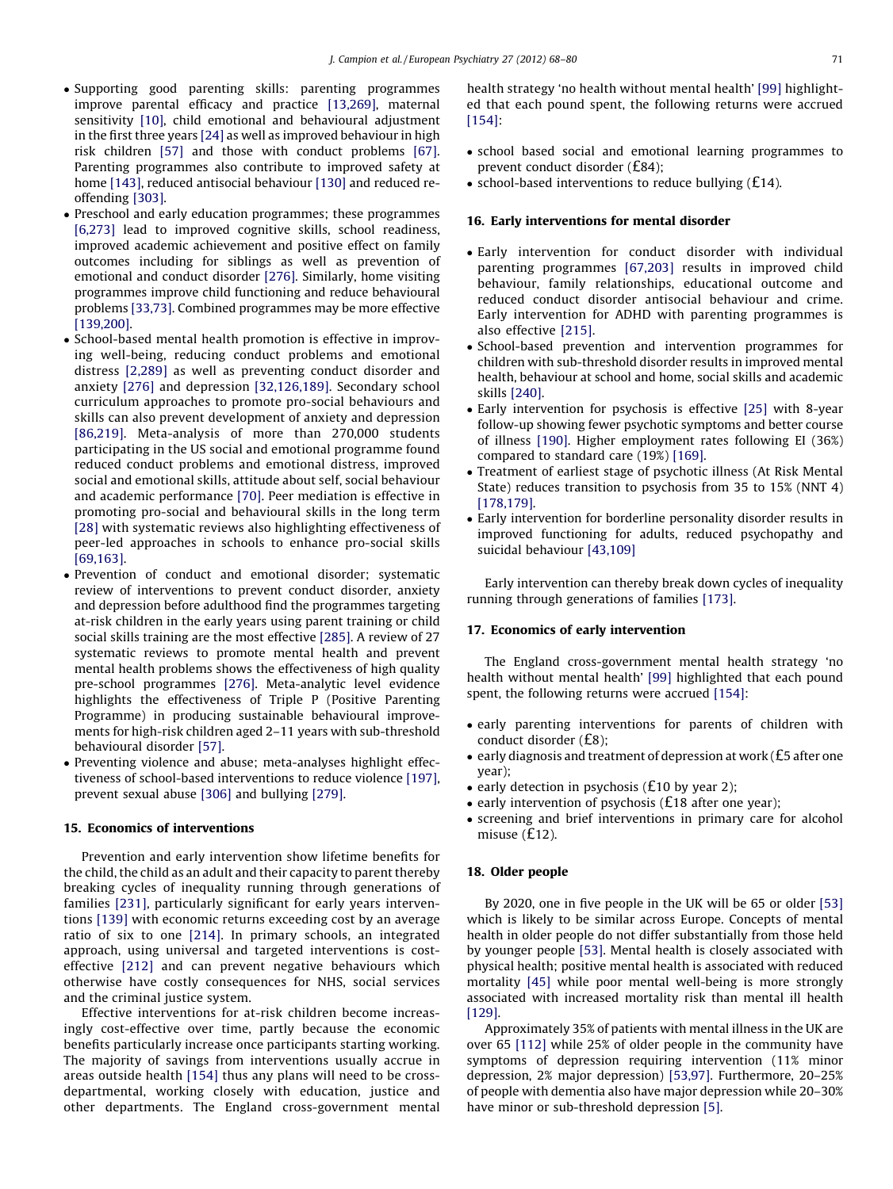- Supporting good parenting skills: parenting programmes improve parental efficacy and practice [\[13,269\],](#page-7-0) maternal sensitivity [\[10\]](#page-7-0), child emotional and behavioural adjustment in the first three years [\[24\]](#page-7-0) as well as improved behaviour in high risk children [\[57\]](#page-7-0) and those with conduct problems [\[67\].](#page-8-0) Parenting programmes also contribute to improved safety at home [\[143\]](#page-9-0), reduced antisocial behaviour [\[130\]](#page-9-0) and reduced reoffending [\[303\]](#page-12-0).
- Preschool and early education programmes; these programmes [\[6,273\]](#page-7-0) lead to improved cognitive skills, school readiness, improved academic achievement and positive effect on family outcomes including for siblings as well as prevention of emotional and conduct disorder [\[276\].](#page-11-0) Similarly, home visiting programmes improve child functioning and reduce behavioural problems [\[33,73\].](#page-7-0) Combined programmes may be more effective [\[139,200\]](#page-9-0).
- School-based mental health promotion is effective in improving well-being, reducing conduct problems and emotional distress [\[2,289\]](#page-6-0) as well as preventing conduct disorder and anxiety [\[276\]](#page-11-0) and depression [\[32,126,189\].](#page-7-0) Secondary school curriculum approaches to promote pro-social behaviours and skills can also prevent development of anxiety and depression [\[86,219\].](#page-8-0) Meta-analysis of more than 270,000 students participating in the US social and emotional programme found reduced conduct problems and emotional distress, improved social and emotional skills, attitude about self, social behaviour and academic performance [\[70\]](#page-8-0). Peer mediation is effective in promoting pro-social and behavioural skills in the long term [\[28\]](#page-7-0) with systematic reviews also highlighting effectiveness of peer-led approaches in schools to enhance pro-social skills [\[69,163\].](#page-8-0)
- Prevention of conduct and emotional disorder; systematic review of interventions to prevent conduct disorder, anxiety and depression before adulthood find the programmes targeting at-risk children in the early years using parent training or child social skills training are the most effective [\[285\].](#page-11-0) A review of 27 systematic reviews to promote mental health and prevent mental health problems shows the effectiveness of high quality pre-school programmes [\[276\]](#page-11-0). Meta-analytic level evidence highlights the effectiveness of Triple P (Positive Parenting Programme) in producing sustainable behavioural improvements for high-risk children aged 2–11 years with sub-threshold behavioural disorder [\[57\].](#page-7-0)
- Preventing violence and abuse; meta-analyses highlight effectiveness of school-based interventions to reduce violence [\[197\],](#page-10-0) prevent sexual abuse [\[306\]](#page-12-0) and bullying [\[279\].](#page-11-0)

# 15. Economics of interventions

Prevention and early intervention show lifetime benefits for the child, the child as an adult and their capacity to parent thereby breaking cycles of inequality running through generations of families [\[231\],](#page-10-0) particularly significant for early years interventions [\[139\]](#page-9-0) with economic returns exceeding cost by an average ratio of six to one [\[214\]](#page-10-0). In primary schools, an integrated approach, using universal and targeted interventions is costeffective [\[212\]](#page-10-0) and can prevent negative behaviours which otherwise have costly consequences for NHS, social services and the criminal justice system.

Effective interventions for at-risk children become increasingly cost-effective over time, partly because the economic benefits particularly increase once participants starting working. The majority of savings from interventions usually accrue in areas outside health [\[154\]](#page-9-0) thus any plans will need to be crossdepartmental, working closely with education, justice and other departments. The England cross-government mental

health strategy 'no health without mental health' [\[99\]](#page-8-0) highlighted that each pound spent, the following returns were accrued [\[154\]:](#page-9-0)

- school based social and emotional learning programmes to prevent conduct disorder (£84);
- $\bullet$  school-based interventions to reduce bullying (£14).

# 16. Early interventions for mental disorder

- Early intervention for conduct disorder with individual parenting programmes [\[67,203\]](#page-8-0) results in improved child behaviour, family relationships, educational outcome and reduced conduct disorder antisocial behaviour and crime. Early intervention for ADHD with parenting programmes is also effective [\[215\]](#page-10-0).
- School-based prevention and intervention programmes for children with sub-threshold disorder results in improved mental health, behaviour at school and home, social skills and academic skills [\[240\]](#page-11-0).
- Early intervention for psychosis is effective [\[25\]](#page-7-0) with 8-year follow-up showing fewer psychotic symptoms and better course of illness [\[190\].](#page-10-0) Higher employment rates following EI (36%) compared to standard care (19%) [\[169\]](#page-9-0).
- Treatment of earliest stage of psychotic illness (At Risk Mental State) reduces transition to psychosis from 35 to 15% (NNT 4) [\[178,179\].](#page-9-0)
- Early intervention for borderline personality disorder results in improved functioning for adults, reduced psychopathy and suicidal behaviour [\[43,109\]](#page-7-0)

Early intervention can thereby break down cycles of inequality running through generations of families [\[173\]](#page-9-0).

# 17. Economics of early intervention

The England cross-government mental health strategy 'no health without mental health' [\[99\]](#page-8-0) highlighted that each pound spent, the following returns were accrued [\[154\]:](#page-9-0)

- early parenting interventions for parents of children with conduct disorder (£8);
- early diagnosis and treatment of depression at work (£5 after one year);
- early detection in psychosis (£10 by year 2);
- early intervention of psychosis (£18 after one year);
- screening and brief interventions in primary care for alcohol misuse (£12).

#### 18. Older people

By 2020, one in five people in the UK will be 65 or older [\[53\]](#page-7-0) which is likely to be similar across Europe. Concepts of mental health in older people do not differ substantially from those held by younger people [\[53\]](#page-7-0). Mental health is closely associated with physical health; positive mental health is associated with reduced mortality [\[45\]](#page-7-0) while poor mental well-being is more strongly associated with increased mortality risk than mental ill health [\[129\]](#page-9-0).

Approximately 35% of patients with mental illness in the UK are over 65 [\[112\]](#page-8-0) while 25% of older people in the community have symptoms of depression requiring intervention (11% minor depression, 2% major depression) [\[53,97\].](#page-7-0) Furthermore, 20–25% of people with dementia also have major depression while 20–30% have minor or sub-threshold depression [\[5\]](#page-7-0).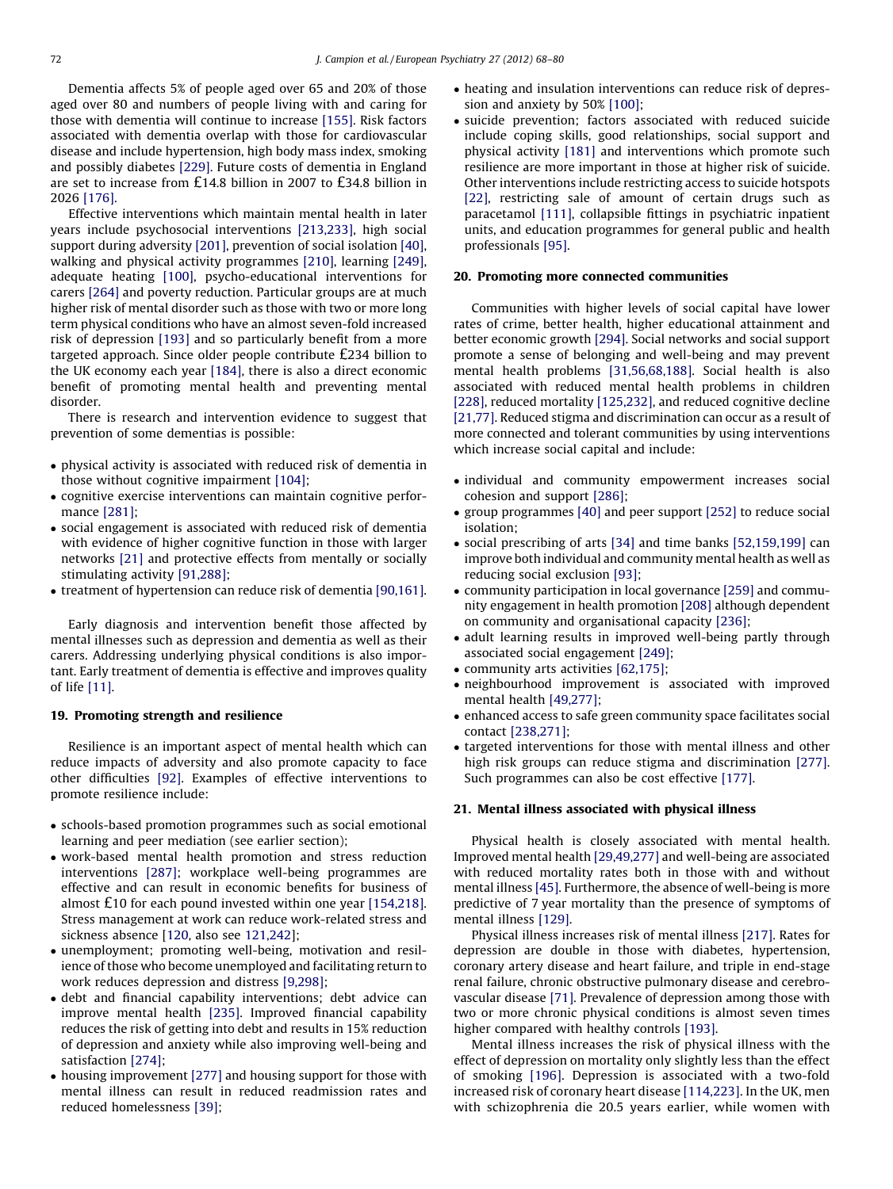Dementia affects 5% of people aged over 65 and 20% of those aged over 80 and numbers of people living with and caring for those with dementia will continue to increase [\[155\].](#page-9-0) Risk factors associated with dementia overlap with those for cardiovascular disease and include hypertension, high body mass index, smoking and possibly diabetes [\[229\]](#page-10-0). Future costs of dementia in England are set to increase from £14.8 billion in 2007 to £34.8 billion in 2026 [\[176\]](#page-9-0).

Effective interventions which maintain mental health in later years include psychosocial interventions [\[213,233\],](#page-10-0) high social support during adversity [\[201\],](#page-10-0) prevention of social isolation [\[40\],](#page-7-0) walking and physical activity programmes [\[210\],](#page-10-0) learning [\[249\],](#page-11-0) adequate heating [\[100\]](#page-8-0), psycho-educational interventions for carers [\[264\]](#page-11-0) and poverty reduction. Particular groups are at much higher risk of mental disorder such as those with two or more long term physical conditions who have an almost seven-fold increased risk of depression [\[193\]](#page-10-0) and so particularly benefit from a more targeted approach. Since older people contribute £234 billion to the UK economy each year [\[184\]](#page-10-0), there is also a direct economic benefit of promoting mental health and preventing mental disorder.

There is research and intervention evidence to suggest that prevention of some dementias is possible:

- physical activity is associated with reduced risk of dementia in those without cognitive impairment [\[104\];](#page-8-0)
- cognitive exercise interventions can maintain cognitive performance [\[281\]](#page-11-0);
- social engagement is associated with reduced risk of dementia with evidence of higher cognitive function in those with larger networks [\[21\]](#page-7-0) and protective effects from mentally or socially stimulating activity [\[91,288\];](#page-8-0)
- treatment of hypertension can reduce risk of dementia [\[90,161\].](#page-8-0)

Early diagnosis and intervention benefit those affected by mental illnesses such as depression and dementia as well as their carers. Addressing underlying physical conditions is also important. Early treatment of dementia is effective and improves quality of life [\[11\]](#page-7-0).

# 19. Promoting strength and resilience

Resilience is an important aspect of mental health which can reduce impacts of adversity and also promote capacity to face other difficulties [\[92\].](#page-8-0) Examples of effective interventions to promote resilience include:

- schools-based promotion programmes such as social emotional learning and peer mediation (see earlier section);
- work-based mental health promotion and stress reduction interventions [\[287\]](#page-11-0); workplace well-being programmes are effective and can result in economic benefits for business of almost £10 for each pound invested within one year [\[154,218\].](#page-9-0) Stress management at work can reduce work-related stress and sickness absence [\[120,](#page-9-0) also see [121,242](#page-9-0)];
- unemployment; promoting well-being, motivation and resilience of those who become unemployed and facilitating return to work reduces depression and distress [\[9,298\]](#page-7-0);
- debt and financial capability interventions; debt advice can improve mental health [\[235\].](#page-10-0) Improved financial capability reduces the risk of getting into debt and results in 15% reduction of depression and anxiety while also improving well-being and satisfaction [\[274\];](#page-11-0)
- housing improvement [\[277\]](#page-11-0) and housing support for those with mental illness can result in reduced readmission rates and reduced homelessness [\[39\]](#page-7-0);
- heating and insulation interventions can reduce risk of depression and anxiety by 50% [\[100\];](#page-8-0)
- suicide prevention; factors associated with reduced suicide include coping skills, good relationships, social support and physical activity [\[181\]](#page-10-0) and interventions which promote such resilience are more important in those at higher risk of suicide. Other interventions include restricting access to suicide hotspots [\[22\],](#page-7-0) restricting sale of amount of certain drugs such as paracetamol [\[111\]](#page-8-0), collapsible fittings in psychiatric inpatient units, and education programmes for general public and health professionals [\[95\]](#page-8-0).

#### 20. Promoting more connected communities

Communities with higher levels of social capital have lower rates of crime, better health, higher educational attainment and better economic growth [\[294\]](#page-11-0). Social networks and social support promote a sense of belonging and well-being and may prevent mental health problems [\[31,56,68,188\].](#page-7-0) Social health is also associated with reduced mental health problems in children [\[228\]](#page-10-0), reduced mortality [\[125,232\]](#page-9-0), and reduced cognitive decline [\[21,77\].](#page-7-0) Reduced stigma and discrimination can occur as a result of more connected and tolerant communities by using interventions which increase social capital and include:

- individual and community empowerment increases social cohesion and support [\[286\]](#page-11-0);
- group programmes [\[40\]](#page-7-0) and peer support [\[252\]](#page-11-0) to reduce social isolation;
- social prescribing of arts [\[34\]](#page-7-0) and time banks [\[52,159,199\]](#page-7-0) can improve both individual and community mental health as well as reducing social exclusion [\[93\]](#page-8-0);
- community participation in local governance [\[259\]](#page-11-0) and community engagement in health promotion [\[208\]](#page-10-0) although dependent on community and organisational capacity [\[236\]](#page-10-0);
- adult learning results in improved well-being partly through associated social engagement [\[249\];](#page-11-0)
- community arts activities [\[62,175\]](#page-8-0);
- neighbourhood improvement is associated with improved mental health [\[49,277\];](#page-7-0)
- enhanced access to safe green community space facilitates social contact [\[238,271\];](#page-10-0)
- targeted interventions for those with mental illness and other high risk groups can reduce stigma and discrimination [\[277\].](#page-11-0) Such programmes can also be cost effective [\[177\].](#page-9-0)

#### 21. Mental illness associated with physical illness

Physical health is closely associated with mental health. Improved mental health [\[29,49,277\]](#page-7-0) and well-being are associated with reduced mortality rates both in those with and without mental illness [\[45\].](#page-7-0) Furthermore, the absence of well-being is more predictive of 7 year mortality than the presence of symptoms of mental illness [\[129\].](#page-9-0)

Physical illness increases risk of mental illness [\[217\].](#page-10-0) Rates for depression are double in those with diabetes, hypertension, coronary artery disease and heart failure, and triple in end-stage renal failure, chronic obstructive pulmonary disease and cerebrovascular disease [\[71\].](#page-8-0) Prevalence of depression among those with two or more chronic physical conditions is almost seven times higher compared with healthy controls [\[193\]](#page-10-0).

Mental illness increases the risk of physical illness with the effect of depression on mortality only slightly less than the effect of smoking [\[196\].](#page-10-0) Depression is associated with a two-fold increased risk of coronary heart disease [\[114,223\].](#page-8-0) In the UK, men with schizophrenia die 20.5 years earlier, while women with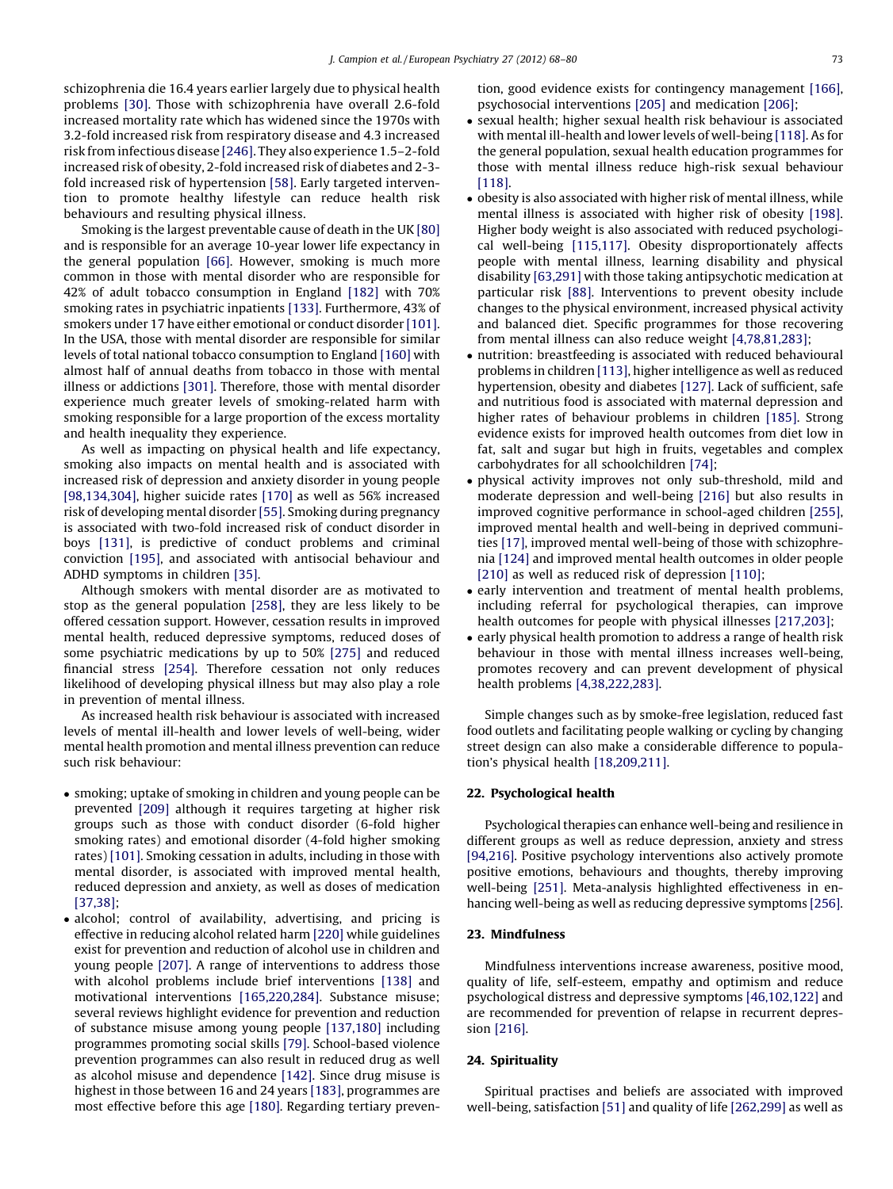schizophrenia die 16.4 years earlier largely due to physical health problems [\[30\].](#page-7-0) Those with schizophrenia have overall 2.6-fold increased mortality rate which has widened since the 1970s with 3.2-fold increased risk from respiratory disease and 4.3 increased risk from infectious disease [\[246\].](#page-11-0) They also experience 1.5–2-fold increased risk of obesity, 2-fold increased risk of diabetes and 2-3 fold increased risk of hypertension [\[58\].](#page-7-0) Early targeted intervention to promote healthy lifestyle can reduce health risk behaviours and resulting physical illness.

Smoking is the largest preventable cause of death in the UK [\[80\]](#page-8-0) and is responsible for an average 10-year lower life expectancy in the general population [\[66\]](#page-8-0). However, smoking is much more common in those with mental disorder who are responsible for 42% of adult tobacco consumption in England [\[182\]](#page-10-0) with 70% smoking rates in psychiatric inpatients [\[133\].](#page-9-0) Furthermore, 43% of smokers under 17 have either emotional or conduct disorder [\[101\].](#page-8-0) In the USA, those with mental disorder are responsible for similar levels of total national tobacco consumption to England [\[160\]](#page-9-0) with almost half of annual deaths from tobacco in those with mental illness or addictions [\[301\].](#page-12-0) Therefore, those with mental disorder experience much greater levels of smoking-related harm with smoking responsible for a large proportion of the excess mortality and health inequality they experience.

As well as impacting on physical health and life expectancy, smoking also impacts on mental health and is associated with increased risk of depression and anxiety disorder in young people [\[98,134,304\],](#page-8-0) higher suicide rates [\[170\]](#page-9-0) as well as 56% increased risk of developing mental disorder [\[55\]](#page-7-0). Smoking during pregnancy is associated with two-fold increased risk of conduct disorder in boys [\[131\],](#page-9-0) is predictive of conduct problems and criminal conviction [\[195\],](#page-10-0) and associated with antisocial behaviour and ADHD symptoms in children [\[35\].](#page-7-0)

Although smokers with mental disorder are as motivated to stop as the general population [\[258\]](#page-11-0), they are less likely to be offered cessation support. However, cessation results in improved mental health, reduced depressive symptoms, reduced doses of some psychiatric medications by up to 50% [\[275\]](#page-11-0) and reduced financial stress [\[254\].](#page-11-0) Therefore cessation not only reduces likelihood of developing physical illness but may also play a role in prevention of mental illness.

As increased health risk behaviour is associated with increased levels of mental ill-health and lower levels of well-being, wider mental health promotion and mental illness prevention can reduce such risk behaviour:

- smoking; uptake of smoking in children and young people can be prevented [\[209\]](#page-10-0) although it requires targeting at higher risk groups such as those with conduct disorder (6-fold higher smoking rates) and emotional disorder (4-fold higher smoking rates) [\[101\].](#page-8-0) Smoking cessation in adults, including in those with mental disorder, is associated with improved mental health, reduced depression and anxiety, as well as doses of medication [\[37,38\];](#page-7-0)
- alcohol; control of availability, advertising, and pricing is effective in reducing alcohol related harm [\[220\]](#page-10-0) while guidelines exist for prevention and reduction of alcohol use in children and young people [\[207\].](#page-10-0) A range of interventions to address those with alcohol problems include brief interventions [\[138\]](#page-9-0) and motivational interventions [\[165,220,284\].](#page-9-0) Substance misuse; several reviews highlight evidence for prevention and reduction of substance misuse among young people [\[137,180\]](#page-9-0) including programmes promoting social skills [\[79\].](#page-8-0) School-based violence prevention programmes can also result in reduced drug as well as alcohol misuse and dependence [\[142\]](#page-9-0). Since drug misuse is highest in those between 16 and 24 years [\[183\],](#page-10-0) programmes are most effective before this age [\[180\].](#page-10-0) Regarding tertiary preven-

tion, good evidence exists for contingency management [\[166\],](#page-9-0) psychosocial interventions [\[205\]](#page-10-0) and medication [\[206\]](#page-10-0);

- sexual health; higher sexual health risk behaviour is associated with mental ill-health and lower levels of well-being [\[118\].](#page-8-0) As for the general population, sexual health education programmes for those with mental illness reduce high-risk sexual behaviour [\[118\]](#page-8-0).
- obesity is also associated with higher risk of mental illness, while mental illness is associated with higher risk of obesity [\[198\].](#page-10-0) Higher body weight is also associated with reduced psychological well-being [\[115,117\].](#page-8-0) Obesity disproportionately affects people with mental illness, learning disability and physical disability [\[63,291\]](#page-8-0) with those taking antipsychotic medication at particular risk [\[88\].](#page-8-0) Interventions to prevent obesity include changes to the physical environment, increased physical activity and balanced diet. Specific programmes for those recovering from mental illness can also reduce weight [\[4,78,81,283\];](#page-7-0)
- nutrition: breastfeeding is associated with reduced behavioural problems in children [\[113\],](#page-8-0) higher intelligence as well as reduced hypertension, obesity and diabetes [\[127\].](#page-9-0) Lack of sufficient, safe and nutritious food is associated with maternal depression and higher rates of behaviour problems in children [\[185\].](#page-10-0) Strong evidence exists for improved health outcomes from diet low in fat, salt and sugar but high in fruits, vegetables and complex carbohydrates for all schoolchildren [\[74\];](#page-8-0)
- physical activity improves not only sub-threshold, mild and moderate depression and well-being [\[216\]](#page-10-0) but also results in improved cognitive performance in school-aged children [\[255\],](#page-11-0) improved mental health and well-being in deprived communities [\[17\]](#page-7-0), improved mental well-being of those with schizophrenia [\[124\]](#page-9-0) and improved mental health outcomes in older people [\[210\]](#page-10-0) as well as reduced risk of depression [\[110\];](#page-8-0)
- early intervention and treatment of mental health problems, including referral for psychological therapies, can improve health outcomes for people with physical illnesses [\[217,203\];](#page-10-0)
- early physical health promotion to address a range of health risk behaviour in those with mental illness increases well-being, promotes recovery and can prevent development of physical health problems [\[4,38,222,283\].](#page-7-0)

Simple changes such as by smoke-free legislation, reduced fast food outlets and facilitating people walking or cycling by changing street design can also make a considerable difference to population's physical health [\[18,209,211\].](#page-7-0)

# 22. Psychological health

Psychological therapies can enhance well-being and resilience in different groups as well as reduce depression, anxiety and stress [\[94,216\]](#page-8-0). Positive psychology interventions also actively promote positive emotions, behaviours and thoughts, thereby improving well-being [\[251\]](#page-11-0). Meta-analysis highlighted effectiveness in enhancing well-being as well as reducing depressive symptoms [\[256\].](#page-11-0)

# 23. Mindfulness

Mindfulness interventions increase awareness, positive mood, quality of life, self-esteem, empathy and optimism and reduce psychological distress and depressive symptoms [\[46,102,122\]](#page-7-0) and are recommended for prevention of relapse in recurrent depression [\[216\].](#page-10-0)

# 24. Spirituality

Spiritual practises and beliefs are associated with improved well-being, satisfaction [\[51\]](#page-7-0) and quality of life [\[262,299\]](#page-11-0) as well as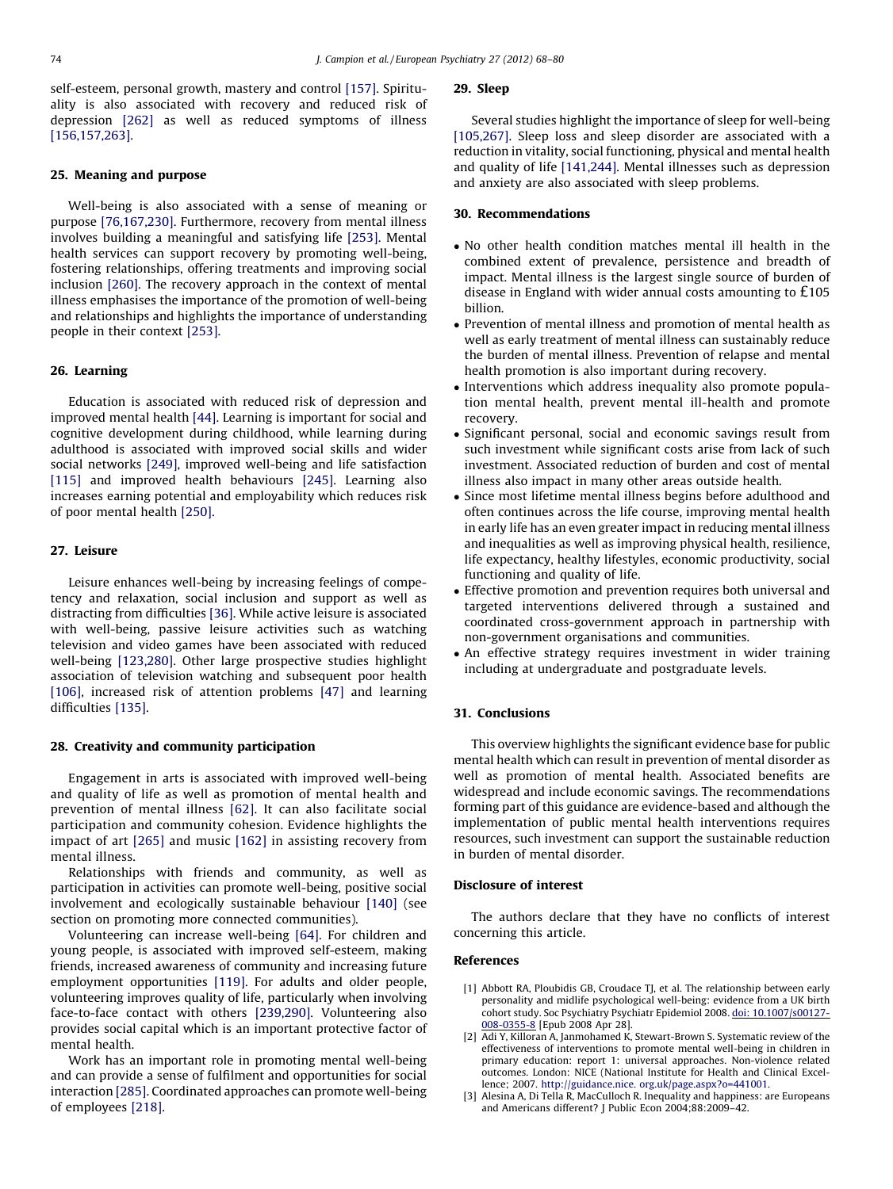<span id="page-6-0"></span>self-esteem, personal growth, mastery and control [\[157\]](#page-9-0). Spirituality is also associated with recovery and reduced risk of depression [\[262\]](#page-11-0) as well as reduced symptoms of illness [\[156,157,263\].](#page-9-0)

# 25. Meaning and purpose

Well-being is also associated with a sense of meaning or purpose [\[76,167,230\].](#page-8-0) Furthermore, recovery from mental illness involves building a meaningful and satisfying life [\[253\]](#page-11-0). Mental health services can support recovery by promoting well-being, fostering relationships, offering treatments and improving social inclusion [\[260\]](#page-11-0). The recovery approach in the context of mental illness emphasises the importance of the promotion of well-being and relationships and highlights the importance of understanding people in their context [\[253\]](#page-11-0).

# 26. Learning

Education is associated with reduced risk of depression and improved mental health [\[44\]](#page-7-0). Learning is important for social and cognitive development during childhood, while learning during adulthood is associated with improved social skills and wider social networks [\[249\]](#page-11-0), improved well-being and life satisfaction [\[115\]](#page-8-0) and improved health behaviours [\[245\]](#page-11-0). Learning also increases earning potential and employability which reduces risk of poor mental health [\[250\]](#page-11-0).

# 27. Leisure

Leisure enhances well-being by increasing feelings of competency and relaxation, social inclusion and support as well as distracting from difficulties [\[36\]](#page-7-0). While active leisure is associated with well-being, passive leisure activities such as watching television and video games have been associated with reduced well-being [\[123,280\]](#page-9-0). Other large prospective studies highlight association of television watching and subsequent poor health [\[106\]](#page-8-0), increased risk of attention problems [\[47\]](#page-7-0) and learning difficulties [\[135\]](#page-9-0).

# 28. Creativity and community participation

Engagement in arts is associated with improved well-being and quality of life as well as promotion of mental health and prevention of mental illness [\[62\].](#page-8-0) It can also facilitate social participation and community cohesion. Evidence highlights the impact of art [\[265\]](#page-11-0) and music [\[162\]](#page-9-0) in assisting recovery from mental illness.

Relationships with friends and community, as well as participation in activities can promote well-being, positive social involvement and ecologically sustainable behaviour [\[140\]](#page-9-0) (see section on promoting more connected communities).

Volunteering can increase well-being [\[64\].](#page-8-0) For children and young people, is associated with improved self-esteem, making friends, increased awareness of community and increasing future employment opportunities [\[119\].](#page-8-0) For adults and older people, volunteering improves quality of life, particularly when involving face-to-face contact with others [\[239,290\]](#page-10-0). Volunteering also provides social capital which is an important protective factor of mental health.

Work has an important role in promoting mental well-being and can provide a sense of fulfilment and opportunities for social interaction [\[285\].](#page-11-0) Coordinated approaches can promote well-being of employees [\[218\]](#page-10-0).

#### 29. Sleep

Several studies highlight the importance of sleep for well-being [\[105,267\].](#page-8-0) Sleep loss and sleep disorder are associated with a reduction in vitality, social functioning, physical and mental health and quality of life [\[141,244\]](#page-9-0). Mental illnesses such as depression and anxiety are also associated with sleep problems.

# 30. Recommendations

- No other health condition matches mental ill health in the combined extent of prevalence, persistence and breadth of impact. Mental illness is the largest single source of burden of disease in England with wider annual costs amounting to £105 billion.
- Prevention of mental illness and promotion of mental health as well as early treatment of mental illness can sustainably reduce the burden of mental illness. Prevention of relapse and mental health promotion is also important during recovery.
- Interventions which address inequality also promote population mental health, prevent mental ill-health and promote recovery.
- Significant personal, social and economic savings result from such investment while significant costs arise from lack of such investment. Associated reduction of burden and cost of mental illness also impact in many other areas outside health.
- Since most lifetime mental illness begins before adulthood and often continues across the life course, improving mental health in early life has an even greater impact in reducing mental illness and inequalities as well as improving physical health, resilience, life expectancy, healthy lifestyles, economic productivity, social functioning and quality of life.
- Effective promotion and prevention requires both universal and targeted interventions delivered through a sustained and coordinated cross-government approach in partnership with non-government organisations and communities.
- An effective strategy requires investment in wider training including at undergraduate and postgraduate levels.

# 31. Conclusions

This overview highlights the significant evidence base for public mental health which can result in prevention of mental disorder as well as promotion of mental health. Associated benefits are widespread and include economic savings. The recommendations forming part of this guidance are evidence-based and although the implementation of public mental health interventions requires resources, such investment can support the sustainable reduction in burden of mental disorder.

#### Disclosure of interest

The authors declare that they have no conflicts of interest concerning this article.

# References

- [1] Abbott RA, Ploubidis GB, Croudace TJ, et al. The relationship between early personality and midlife psychological well-being: evidence from a UK birth cohort study. Soc Psychiatry Psychiatr Epidemiol 200[8.](http://dx.doi.org/10.1007/s00127-008-0355-8) doi: [10.1007/s00127-](http://dx.doi.org/10.1007/s00127-008-0355-8) [008-0355-8](http://dx.doi.org/10.1007/s00127-008-0355-8) [Epub 2008 Apr 28].
- [2] Adi Y, Killoran A, Janmohamed K, Stewart-Brown S. Systematic review of the effectiveness of interventions to promote mental well-being in children in primary education: report 1: universal approaches. Non-violence related outcomes. London: NICE (National Institute for Health and Clinical Excellence; 2007. http://guidance.nice. [org.uk/page.aspx?o=441001.](http://guidance.nice.%20org.uk/page.aspx%3Fo=441001)
- [3] Alesina A, Di Tella R, MacCulloch R. Inequality and happiness: are Europeans and Americans different? J Public Econ 2004;88:2009–42.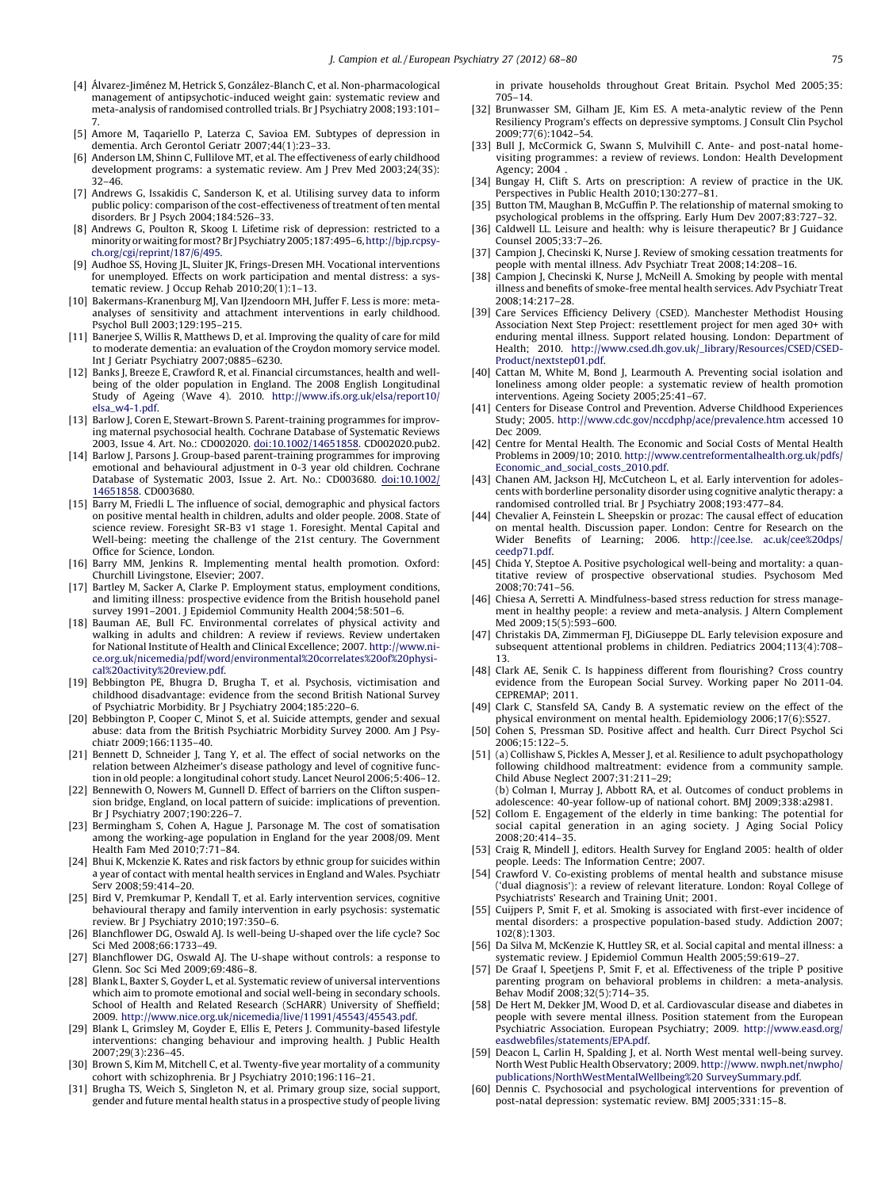- <span id="page-7-0"></span>[4] Álvarez-Jiménez M, Hetrick S, González-Blanch C, et al. Non-pharmacological management of antipsychotic-induced weight gain: systematic review and meta-analysis of randomised controlled trials. Br J Psychiatry 2008;193:101– 7.
- [5] Amore M, Taqariello P, Laterza C, Savioa EM. Subtypes of depression in dementia. Arch Gerontol Geriatr 2007;44(1):23–33.
- [6] Anderson LM, Shinn C, Fullilove MT, et al. The effectiveness of early childhood development programs: a systematic review. Am J Prev Med 2003;24(3S): 32–46.
- [7] Andrews G, Issakidis C, Sanderson K, et al. Utilising survey data to inform public policy: comparison of the cost-effectiveness of treatment of ten mental disorders. Br J Psych 2004;184:526–33.
- [8] Andrews G, Poulton R, Skoog I. Lifetime risk of depression: restricted to a minority or waiting for most? Br J Psychiatry 2005;187:495-6, [http://bjp.rcpsy](http://bjp.rcpsych.org/cgi/reprint/187/6/495)[ch.org/cgi/reprint/187/6/495.](http://bjp.rcpsych.org/cgi/reprint/187/6/495)
- Audhoe SS, Hoving JL, Sluiter JK, Frings-Dresen MH. Vocational interventions for unemployed. Effects on work participation and mental distress: a systematic review. J Occup Rehab 2010;20(1):1-13.
- [10] Bakermans-Kranenburg MJ, Van IJzendoorn MH, Juffer F. Less is more: metaanalyses of sensitivity and attachment interventions in early childhood. Psychol Bull 2003;129:195–215.
- [11] Banerjee S, Willis R, Matthews D, et al. Improving the quality of care for mild to moderate dementia: an evaluation of the Croydon momory service model. Int J Geriatr Psychiatry 2007;0885–6230.
- [12] Banks J, Breeze E, Crawford R, et al. Financial circumstances, health and wellbeing of the older population in England. The 2008 English Longitudinal Study of Ageing (Wave 4). 2010. [http://www.ifs.org.uk/elsa/report10/](http://www.ifs.org.uk/elsa/report10/elsa_w4-1.pdf) [elsa\\_w4-1.pdf.](http://www.ifs.org.uk/elsa/report10/elsa_w4-1.pdf)
- [13] Barlow J, Coren E, Stewart-Brown S. Parent-training programmes for improving maternal psychosocial health. Cochrane Database of Systematic Reviews 2003, Issue 4. Art. No.: CD002020. [doi:10.1002/14651858](http://dx.doi.org/10.1002/14651858). [CD002020.pub2.](http://dx.doi.org/10.1002/14651858)
- [14] Barlow J, Parsons J. Group-based parent-training programmes for improving emotional and behavioural adjustment in 0-3 year old children. Cochrane Database of Systematic 2003, Issue 2. Art. No.: CD003680. [doi:10.1002/](http://dx.doi.org/10.1002/14651858) [14651858.](http://dx.doi.org/10.1002/14651858) [CD003680.](http://dx.doi.org/10.1002/14651858)
- [15] Barry M, Friedli L. The influence of social, demographic and physical factors on positive mental health in children, adults and older people. 2008. State of science review. Foresight SR-B3 v1 stage 1. Foresight. Mental Capital and Well-being: meeting the challenge of the 21st century. The Government Office for Science, London.
- [16] Barry MM, Jenkins R. Implementing mental health promotion. Oxford: Churchill Livingstone, Elsevier; 2007.
- [17] Bartley M, Sacker A, Clarke P. Employment status, employment conditions, and limiting illness: prospective evidence from the British household panel survey 1991–2001. J Epidemiol Community Health 2004;58:501–6.
- [18] Bauman AE, Bull FC. Environmental correlates of physical activity and walking in adults and children: A review if reviews. Review undertaken for National Institute of Health and Clinical Excellence; 2007. [http://www.ni](http://www.nice.org.uk/nicemedia/pdf/word/environmental%20correlates%20of%20physical%20activity%20review.pdf)[ce.org.uk/nicemedia/pdf/word/environmental%20correlates%20of%20physi](http://www.nice.org.uk/nicemedia/pdf/word/environmental%20correlates%20of%20physical%20activity%20review.pdf)[cal%20activity%20review.pdf.](http://www.nice.org.uk/nicemedia/pdf/word/environmental%20correlates%20of%20physical%20activity%20review.pdf)
- [19] Bebbington PE, Bhugra D, Brugha T, et al. Psychosis, victimisation and childhood disadvantage: evidence from the second British National Survey
- of Psychiatric Morbidity. Br J Psychiatry 2004;185:220–6. [20] Bebbington P, Cooper C, Minot S, et al. Suicide attempts, gender and sexual abuse: data from the British Psychiatric Morbidity Survey 2000. Am J Psychiatr 2009;166:1135–40.
- [21] Bennett D, Schneider J, Tang Y, et al. The effect of social networks on the relation between Alzheimer's disease pathology and level of cognitive function in old people: a longitudinal cohort study. Lancet Neurol 2006;5:406–12.
- [22] Bennewith O, Nowers M, Gunnell D. Effect of barriers on the Clifton suspension bridge, England, on local pattern of suicide: implications of prevention. Br J Psychiatry 2007;190:226–7.
- [23] Bermingham S, Cohen A, Hague J, Parsonage M. The cost of somatisation among the working-age population in England for the year 2008/09. Ment Health Fam Med 2010;7:71–84.
- [24] Bhui K, Mckenzie K. Rates and risk factors by ethnic group for suicides within a year of contact with mental health services in England and Wales. Psychiatr Serv 2008;59:414–20.
- [25] Bird V, Premkumar P, Kendall T, et al. Early intervention services, cognitive behavioural therapy and family intervention in early psychosis: systematic review. Br J Psychiatry 2010;197:350–6.
- [26] Blanchflower DG, Oswald AJ. Is well-being U-shaped over the life cycle? Soc Sci Med 2008;66:1733–49.
- [27] Blanchflower DG, Oswald AJ. The U-shape without controls: a response to Glenn. Soc Sci Med 2009;69:486–8.
- [28] Blank L, Baxter S, Goyder L, et al. Systematic review of universal interventions which aim to promote emotional and social well-being in secondary schools. School of Health and Related Research (ScHARR) University of Sheffield; 2009. [http://www.nice.org.uk/nicemedia/live/11991/45543/45543.pdf.](http://www.nice.org.uk/nicemedia/live/11991/45543/45543.pdf)
- [29] Blank L, Grimsley M, Goyder E, Ellis E, Peters J. Community-based lifestyle interventions: changing behaviour and improving health. J Public Health 2007;29(3):236–45.
- [30] Brown S, Kim M, Mitchell C, et al. Twenty-five year mortality of a community cohort with schizophrenia. Br J Psychiatry 2010;196:116–21.
- [31] Brugha TS, Weich S, Singleton N, et al. Primary group size, social support, gender and future mental health status in a prospective study of people living

in private households throughout Great Britain. Psychol Med 2005;35: 705–14.

- [32] Brunwasser SM, Gilham JE, Kim ES. A meta-analytic review of the Penn Resiliency Program's effects on depressive symptoms. J Consult Clin Psychol 2009;77(6):1042–54.
- [33] Bull J, McCormick G, Swann S, Mulvihill C. Ante- and post-natal homevisiting programmes: a review of reviews. London: Health Development Agency; 2004
- [34] Bungay H, Clift S. Arts on prescription: A review of practice in the UK. Perspectives in Public Health 2010;130:277–81.
- [35] Button TM, Maughan B, McGuffin P. The relationship of maternal smoking to psychological problems in the offspring. Early Hum Dev 2007;83:727–32.
- [36] Caldwell LL. Leisure and health: why is leisure therapeutic? Br J Guidance Counsel 2005;33:7–26.
- [37] Campion J, Checinski K, Nurse J. Review of smoking cessation treatments for people with mental illness. Adv Psychiatr Treat 2008;14:208–16.
- [38] Campion J, Checinski K, Nurse J, McNeill A. Smoking by people with mental illness and benefits of smoke-free mental health services. Adv Psychiatr Treat 2008;14:217–28.
- [39] Care Services Efficiency Delivery (CSED). Manchester Methodist Housing Association Next Step Project: resettlement project for men aged 30+ with enduring mental illness. Support related housing. London: Department of Health; 2010. [http://www.csed.dh.gov.uk/\\_library/Resources/CSED/CSED-](http://www.csed.dh.gov.uk/_library/Resources/CSED/CSEDProduct/nextstep01.pdf)[Product/nextstep01.pdf.](http://www.csed.dh.gov.uk/_library/Resources/CSED/CSEDProduct/nextstep01.pdf)
- [40] Cattan M, White M, Bond J, Learmouth A. Preventing social isolation and loneliness among older people: a systematic review of health promotion interventions. Ageing Society 2005;25:41–67.
- [41] Centers for Disease Control and Prevention. Adverse Childhood Experiences Study; 2005. <http://www.cdc.gov/nccdphp/ace/prevalence.htm> accessed 10 Dec [2009.](http://www.cdc.gov/nccdphp/ace/prevalence.htm)
- [42] Centre for Mental Health. The Economic and Social Costs of Mental Health Problems in 2009/10; 2010. [http://www.centreformentalhealth.org.uk/pdfs/](http://www.centreformentalhealth.org.uk/pdfs/Economic_and_social_costs_2010.pdf) [Economic\\_and\\_social\\_costs\\_2010.pdf.](http://www.centreformentalhealth.org.uk/pdfs/Economic_and_social_costs_2010.pdf)
- [43] Chanen AM, Jackson HJ, McCutcheon L, et al. Early intervention for adolescents with borderline personality disorder using cognitive analytic therapy: a randomised controlled trial. Br J Psychiatry 2008;193:477–84.
- [44] Chevalier A, Feinstein L. Sheepskin or prozac: The causal effect of education on mental health. Discussion paper. London: Centre for Research on the Wider Benefits of Learning; 2006. http://cee.lse. [ac.uk/cee%20dps/](http://cee.lse.%20ac.uk/cee%20dps/ceedp71.pdf) [ceedp71.pdf.](http://cee.lse.%20ac.uk/cee%20dps/ceedp71.pdf)
- [45] Chida Y, Steptoe A. Positive psychological well-being and mortality: a quantitative review of prospective observational studies. Psychosom Med 2008;70:741–56.
- [46] Chiesa A, Serretti A. Mindfulness-based stress reduction for stress management in healthy people: a review and meta-analysis. J Altern Complement Med 2009:15(5):593-600.
- [47] Christakis DA, Zimmerman FI, DiGiuseppe DL, Early television exposure and subsequent attentional problems in children. Pediatrics 2004;113(4):708– 13.
- [48] Clark AE, Senik C. Is happiness different from flourishing? Cross country evidence from the European Social Survey. Working paper No 2011-04. CEPREMAP; 2011.
- [49] Clark C, Stansfeld SA, Candy B. A systematic review on the effect of the physical environment on mental health. Epidemiology 2006;17(6):S527.
- [50] Cohen S, Pressman SD. Positive affect and health. Curr Direct Psychol Sci 2006;15:122–5.
- [51] (a) Collishaw S, Pickles A, Messer J, et al. Resilience to adult psychopathology following childhood maltreatment: evidence from a community sample. Child Abuse Neglect 2007;31:211–29; (b) Colman I, Murray J, Abbott RA, et al. Outcomes of conduct problems in

adolescence: 40-year follow-up of national cohort. BMJ 2009;338:a2981.

- [52] Collom E. Engagement of the elderly in time banking: The potential for social capital generation in an aging society. J Aging Social Policy 2008;20:414–35.
- [53] Craig R, Mindell J, editors. Health Survey for England 2005: health of older people. Leeds: The Information Centre; 2007.
- [54] Crawford V. Co-existing problems of mental health and substance misuse ('dual diagnosis'): a review of relevant literature. London: Royal College of Psychiatrists' Research and Training Unit; 2001.
- [55] Cuijpers P, Smit F, et al. Smoking is associated with first-ever incidence of mental disorders: a prospective population-based study. Addiction 2007; 102(8):1303.
- [56] Da Silva M, McKenzie K, Huttley SR, et al. Social capital and mental illness: a systematic review. J Epidemiol Commun Health 2005;59:619–27.
- [57] De Graaf I, Speetjens P, Smit F, et al. Effectiveness of the triple P positive parenting program on behavioral problems in children: a meta-analysis. Behav Modif 2008;32(5):714–35.
- [58] De Hert M, Dekker JM, Wood D, et al. Cardiovascular disease and diabetes in people with severe mental illness. Position statement from the European Psychiatric Association. European Psychiatry; 2009. [http://www.easd.org/](http://www.easd.org/easdwebfiles/statements/EPA.pdf) [easdwebfiles/statements/EPA.pdf.](http://www.easd.org/easdwebfiles/statements/EPA.pdf)
- [59] Deacon L, Carlin H, Spalding J, et al. North West mental well-being survey. North West Public Health Observatory; 2009. http://www. [nwph.net/nwpho/](http://www.%20nwph.net/nwpho/publications/NorthWestMentalWellbeing%20SurveySummary.pdf) [publications/NorthWestMentalWellbeing%20](http://www.%20nwph.net/nwpho/publications/NorthWestMentalWellbeing%20SurveySummary.pdf) SurveySummary.pdf.
- [60] Dennis C. Psychosocial and psychological interventions for prevention of post-natal depression: systematic review. BMJ 2005;331:15–8.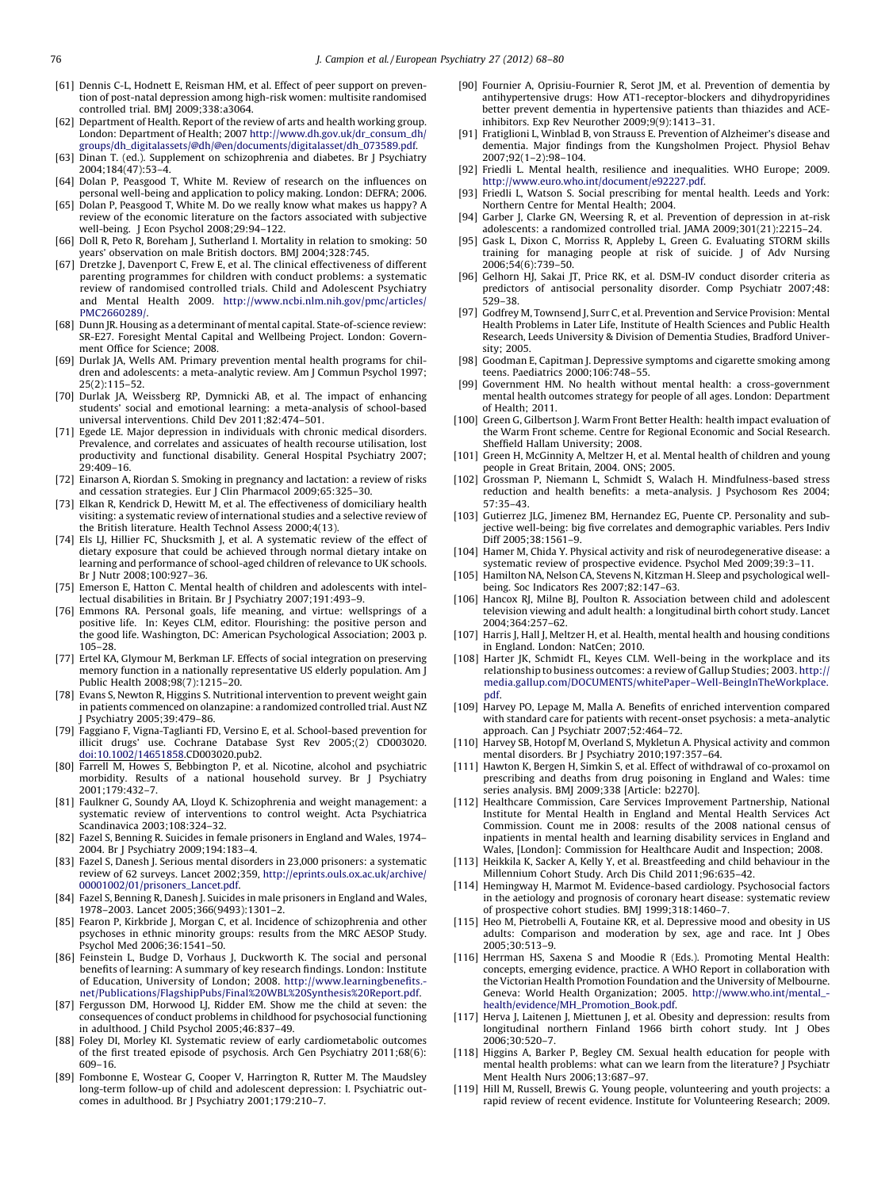- <span id="page-8-0"></span>[61] Dennis C-L, Hodnett E, Reisman HM, et al. Effect of peer support on prevention of post-natal depression among high-risk women: multisite randomised controlled trial. BMJ 2009;338:a3064.
- [62] Department of Health. Report of the review of arts and health working group. London: Department of Health; 2007 [http://www.dh.gov.uk/dr\\_consum\\_dh/](http://www.dh.gov.uk/dr_consum_dh/groups/dh_digitalassets/@dh/@en/documents/digitalasset/dh_073589.pdf) [groups/dh\\_digitalassets/@dh/@en/documents/digitalasset/dh\\_073589.pdf.](http://www.dh.gov.uk/dr_consum_dh/groups/dh_digitalassets/@dh/@en/documents/digitalasset/dh_073589.pdf)
- [63] Dinan T. (ed.). Supplement on schizophrenia and diabetes. Br J Psychiatry 2004;184(47):53–4.
- [64] Dolan P, Peasgood T, White M. Review of research on the influences on personal well-being and application to policy making. London: DEFRA; 2006.
- [65] Dolan P, Peasgood T, White M. Do we really know what makes us happy? A review of the economic literature on the factors associated with subjective well-being. J Econ Psychol 2008;29:94–122.
- [66] Doll R, Peto R, Boreham J, Sutherland I. Mortality in relation to smoking: 50 years' observation on male British doctors. BMJ 2004;328:745.
- [67] Dretzke J, Davenport C, Frew E, et al. The clinical effectiveness of different parenting programmes for children with conduct problems: a systematic review of randomised controlled trials. Child and Adolescent Psychiatry and Mental Health 2009. [http://www.ncbi.nlm.nih.gov/pmc/articles/](http://www.ncbi.nlm.nih.gov/pmc/articles/PMC2660289/) [PMC2660289/.](http://www.ncbi.nlm.nih.gov/pmc/articles/PMC2660289/)
- [68] Dunn JR. Housing as a determinant of mental capital. State-of-science review: SR-E27. Foresight Mental Capital and Wellbeing Project. London: Government Office for Science; 2008.
- [69] Durlak JA, Wells AM. Primary prevention mental health programs for children and adolescents: a meta-analytic review. Am J Commun Psychol 1997; 25(2):115–52.
- [70] Durlak JA, Weissberg RP, Dymnicki AB, et al. The impact of enhancing students' social and emotional learning: a meta-analysis of school-based universal interventions. Child Dev 2011;82:474–501.
- [71] Egede LE. Major depression in individuals with chronic medical disorders. Prevalence, and correlates and assicuates of health recourse utilisation, lost productivity and functional disability. General Hospital Psychiatry 2007; 29:409–16.
- [72] Einarson A, Riordan S. Smoking in pregnancy and lactation: a review of risks and cessation strategies. Eur J Clin Pharmacol 2009;65:325–30.
- [73] Elkan R, Kendrick D, Hewitt M, et al. The effectiveness of domiciliary health visiting: a systematic review of international studies and a selective review of the British literature. Health Technol Assess 2000;4(13).
- [74] Els LJ, Hillier FC, Shucksmith J, et al. A systematic review of the effect of dietary exposure that could be achieved through normal dietary intake on learning and performance of school-aged children of relevance to UK schools. Br J Nutr 2008;100:927–36.
- [75] Emerson E, Hatton C. Mental health of children and adolescents with intellectual disabilities in Britain. Br J Psychiatry 2007;191:493–9.
- [76] Emmons RA. Personal goals, life meaning, and virtue: wellsprings of a positive life. In: Keyes CLM, editor. Flourishing: the positive person and the good life. Washington, DC: American Psychological Association; 2003. p. 105–28.
- [77] Ertel KA, Glymour M, Berkman LF. Effects of social integration on preserving memory function in a nationally representative US elderly population. Am J Public Health 2008;98(7):1215–20.
- [78] Evans S, Newton R, Higgins S. Nutritional intervention to prevent weight gain in patients commenced on olanzapine: a randomized controlled trial. Aust NZ J Psychiatry 2005;39:479–86.
- [79] Faggiano F, Vigna-Taglianti FD, Versino E, et al. School-based prevention for illicit drugs' use. Cochrane Database Syst Rev 2005;(2) CD003020. [doi:10.1002/14651858.CD003020.pub2.](http://dx.doi.org/10.1002/14651858)
- [80] Farrell M, Howes S, Bebbington P, et al. Nicotine, alcohol and psychiatric morbidity. Results of a national household survey. Br J Psychiatry 2001;179:432–7.
- [81] Faulkner G, Soundy AA, Lloyd K. Schizophrenia and weight management: a systematic review of interventions to control weight. Acta Psychiatrica Scandinavica 2003;108:324–32.
- [82] Fazel S, Benning R. Suicides in female prisoners in England and Wales, 1974– 2004. Br J Psychiatry 2009;194:183–4.
- [83] Fazel S, Danesh J. Serious mental disorders in 23,000 prisoners: a systematic review of 62 surveys. Lancet 2002;359, [http://eprints.ouls.ox.ac.uk/archive/](http://eprints.ouls.ox.ac.uk/archive/00001002/01/prisoners_Lancet.pdf) [00001002/01/prisoners\\_Lancet.pdf](http://eprints.ouls.ox.ac.uk/archive/00001002/01/prisoners_Lancet.pdf).
- [84] Fazel S, Benning R, Danesh J. Suicides in male prisoners in England and Wales, 1978–2003. Lancet 2005;366(9493):1301–2.
- [85] Fearon P, Kirkbride J, Morgan C, et al. Incidence of schizophrenia and other psychoses in ethnic minority groups: results from the MRC AESOP Study. Psychol Med 2006;36:1541–50.
- [86] Feinstein L, Budge D, Vorhaus J, Duckworth K. The social and personal benefits of learning: A summary of key research findings. London: Institute of Education, University of London; 2008. [http://www.learningbenefits.](http://www.learningbenefits.net/Publications/FlagshipPubs/Final%20WBL%20Synthesis%20Report.pdf) [net/Publications/FlagshipPubs/Final%20WBL%20Synthesis%20Report.pdf.](http://www.learningbenefits.net/Publications/FlagshipPubs/Final%20WBL%20Synthesis%20Report.pdf)
- [87] Fergusson DM, Horwood LJ, Ridder EM. Show me the child at seven: the consequences of conduct problems in childhood for psychosocial functioning in adulthood. J Child Psychol 2005;46:837–49.
- [88] Foley DI, Morley KI. Systematic review of early cardiometabolic outcomes of the first treated episode of psychosis. Arch Gen Psychiatry 2011;68(6): 609–16.
- [89] Fombonne E, Wostear G, Cooper V, Harrington R, Rutter M. The Maudsley long-term follow-up of child and adolescent depression: I. Psychiatric outcomes in adulthood. Br J Psychiatry 2001;179:210–7.
- [90] Fournier A, Oprisiu-Fournier R, Serot JM, et al. Prevention of dementia by antihypertensive drugs: How AT1-receptor-blockers and dihydropyridines better prevent dementia in hypertensive patients than thiazides and ACEinhibitors. Exp Rev Neurother 2009;9(9):1413–31.
- [91] Fratiglioni L, Winblad B, von Strauss E. Prevention of Alzheimer's disease and dementia. Major findings from the Kungsholmen Project. Physiol Behav 2007;92(1–2):98–104.
- [92] Friedli L. Mental health, resilience and inequalities. WHO Europe; 2009. [http://www.euro.who.int/document/e92227.pdf.](http://www.euro.who.int/document/e92227.pdf)
- [93] Friedli L, Watson S. Social prescribing for mental health. Leeds and York: Northern Centre for Mental Health; 2004.
- [94] Garber J, Clarke GN, Weersing R, et al. Prevention of depression in at-risk adolescents: a randomized controlled trial. JAMA 2009;301(21):2215–24.
- [95] Gask L, Dixon C, Morriss R, Appleby L, Green G. Evaluating STORM skills training for managing people at risk of suicide. J of Adv Nursing 2006;54(6):739–50.
- [96] Gelhorn HJ, Sakai JT, Price RK, et al. DSM-IV conduct disorder criteria as predictors of antisocial personality disorder. Comp Psychiatr 2007;48: 529–38.
- [97] Godfrey M, Townsend J, Surr C, et al. Prevention and Service Provision: Mental Health Problems in Later Life, Institute of Health Sciences and Public Health Research, Leeds University & Division of Dementia Studies, Bradford University; 2005.
- [98] Goodman E, Capitman J. Depressive symptoms and cigarette smoking among teens. Paediatrics 2000;106:748–55.
- [99] Government HM. No health without mental health: a cross-government mental health outcomes strategy for people of all ages. London: Department of Health; 2011.
- [100] Green G, Gilbertson J. Warm Front Better Health: health impact evaluation of the Warm Front scheme. Centre for Regional Economic and Social Research. Sheffield Hallam University; 2008.
- [101] Green H, McGinnity A, Meltzer H, et al. Mental health of children and young people in Great Britain, 2004. ONS; 2005.
- [102] Grossman P, Niemann L, Schmidt S, Walach H. Mindfulness-based stress reduction and health benefits: a meta-analysis. J Psychosom Res 2004; 57:35–43.
- [103] Gutierrez JLG, Jimenez BM, Hernandez EG, Puente CP. Personality and subjective well-being: big five correlates and demographic variables. Pers Indiv Diff 2005;38:1561–9.
- [104] Hamer M, Chida Y. Physical activity and risk of neurodegenerative disease: a systematic review of prospective evidence. Psychol Med 2009;39:3–11.
- [105] Hamilton NA, Nelson CA, Stevens N, Kitzman H. Sleep and psychological wellbeing. Soc Indicators Res 2007;82:147–63.
- [106] Hancox RJ, Milne BJ, Poulton R. Association between child and adolescent television viewing and adult health: a longitudinal birth cohort study. Lancet 2004;364:257–62.
- [107] Harris J, Hall J, Meltzer H, et al. Health, mental health and housing conditions in England. London: NatCen; 2010.
- [108] Harter JK, Schmidt FL, Keyes CLM. Well-being in the workplace and its relationship to business outcomes: a review of Gallup Studies; 2003. [http://](http://media.gallup.com/DOCUMENTS/whitePaper--Well-BeingInTheWorkplace.pdf) [media.gallup.com/DOCUMENTS/whitePaper–Well-BeingInTheWorkplace.](http://media.gallup.com/DOCUMENTS/whitePaper--Well-BeingInTheWorkplace.pdf) [pdf.](http://media.gallup.com/DOCUMENTS/whitePaper--Well-BeingInTheWorkplace.pdf)
- [109] Harvey PO, Lepage M, Malla A. Benefits of enriched intervention compared with standard care for patients with recent-onset psychosis: a meta-analytic approach. Can J Psychiatr 2007;52:464–72.
- [110] Harvey SB, Hotopf M, Overland S, Mykletun A. Physical activity and common mental disorders. Br J Psychiatry 2010;197:357–64.
- [111] Hawton K, Bergen H, Simkin S, et al. Effect of withdrawal of co-proxamol on prescribing and deaths from drug poisoning in England and Wales: time series analysis. BMJ 2009;338 [Article: b2270].
- [112] Healthcare Commission, Care Services Improvement Partnership, National Institute for Mental Health in England and Mental Health Services Act Commission. Count me in 2008: results of the 2008 national census of inpatients in mental health and learning disability services in England and Wales, [London]: Commission for Healthcare Audit and Inspection; 2008.
- [113] Heikkila K, Sacker A, Kelly Y, et al. Breastfeeding and child behaviour in the Millennium Cohort Study. Arch Dis Child 2011;96:635–42.
- [114] Hemingway H, Marmot M. Evidence-based cardiology. Psychosocial factors in the aetiology and prognosis of coronary heart disease: systematic review of prospective cohort studies. BMJ 1999;318:1460–7.
- [115] Heo M, Pietrobelli A, Foutaine KR, et al. Depressive mood and obesity in US adults: Comparison and moderation by sex, age and race. Int J Obes 2005;30:513–9.
- [116] Herrman HS, Saxena S and Moodie R (Eds.). Promoting Mental Health: concepts, emerging evidence, practice. A WHO Report in collaboration with the Victorian Health Promotion Foundation and the University of Melbourne. Geneva: World Health Organization; 2005. [http://www.who.int/mental\\_](http://www.who.int/mental_health/evidence/MH_Promotion_Book.pdf) [health/evidence/MH\\_Promotion\\_Book.pdf.](http://www.who.int/mental_health/evidence/MH_Promotion_Book.pdf)
- [117] Herva J, Laitenen J, Miettunen J, et al. Obesity and depression: results from longitudinal northern Finland 1966 birth cohort study. Int J Obes 2006;30:520–7.
- [118] Higgins A, Barker P, Begley CM. Sexual health education for people with mental health problems: what can we learn from the literature? J Psychiatr Ment Health Nurs 2006;13:687–97.
- [119] Hill M, Russell, Brewis G. Young people, volunteering and youth projects: a rapid review of recent evidence. Institute for Volunteering Research; 2009.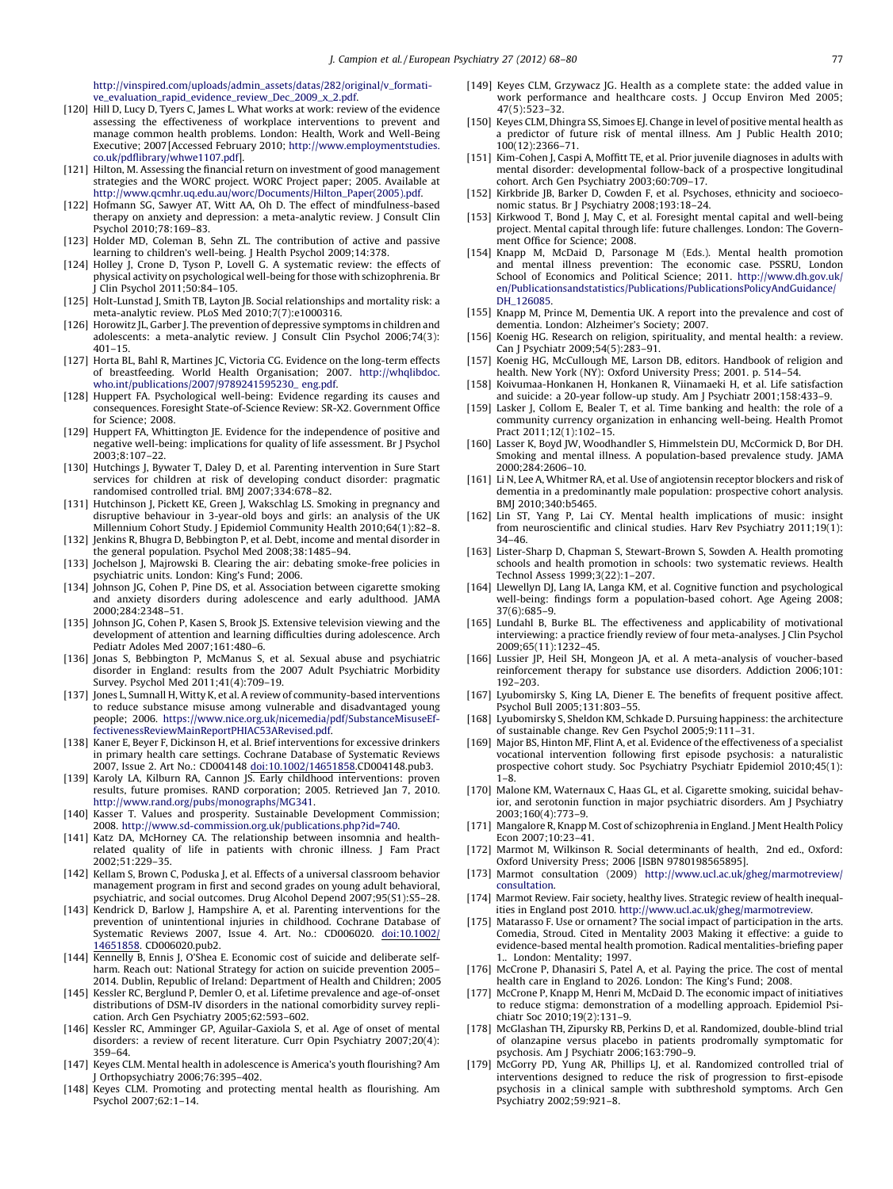[http://vinspired.com/uploads/admin\\_assets/datas/282/original/v\\_formati](http://vinspired.com/uploads/admin_assets/datas/282/original/v_formative_evaluation_rapid_evidence_review_Dec_2009_x_2.pdf)[ve\\_evaluation\\_rapid\\_evidence\\_review\\_Dec\\_2009\\_x\\_2.pdf.](http://vinspired.com/uploads/admin_assets/datas/282/original/v_formative_evaluation_rapid_evidence_review_Dec_2009_x_2.pdf)

- <span id="page-9-0"></span>[120] Hill D, Lucy D, Tyers C, James L. What works at work: review of the evidence assessing the effectiveness of workplace interventions to prevent and manage common health problems. London: Health, Work and Well-Being Executive; 2007 [Accessed February 2010; [http://www.employmentstudies.](http://www.employmentstudies.co.uk/pdflibrary/whwe1107.pdf) [co.uk/pdflibrary/whwe1107.pdf](http://www.employmentstudies.co.uk/pdflibrary/whwe1107.pdf)].
- [121] Hilton, M. Assessing the financial return on investment of good management strategies and the WORC project. WORC Project paper; 2005. Available at [http://www.qcmhr.uq.edu.au/worc/Documents/Hilton\\_Paper\(2005\).pdf.](http://www.qcmhr.uq.edu.au/worc/Documents/Hilton_Paper(2005).pdf)
- [122] Hofmann SG, Sawyer AT, Witt AA, Oh D. The effect of mindfulness-based therapy on anxiety and depression: a meta-analytic review. J Consult Clin Psychol 2010;78:169–83.
- [123] Holder MD, Coleman B, Sehn ZL. The contribution of active and passive learning to children's well-being. J Health Psychol 2009;14:378.
- [124] Holley J, Crone D, Tyson P, Lovell G. A systematic review: the effects of physical activity on psychological well-being for those with schizophrenia. Br J Clin Psychol 2011;50:84–105.
- [125] Holt-Lunstad J, Smith TB, Layton JB. Social relationships and mortality risk: a meta-analytic review. PLoS Med 2010;7(7):e1000316.
- [126] Horowitz JL, Garber J. The prevention of depressive symptoms in children and adolescents: a meta-analytic review. J Consult Clin Psychol 2006;74(3): 401–15.
- [127] Horta BL, Bahl R, Martines JC, Victoria CG. Evidence on the long-term effects of breastfeeding. World Health Organisation; 2007. [http://whqlibdoc.](http://whqlibdoc.who.int/publications/2007/9789241595230_%20eng.pdf) [who.int/publications/2007/9789241595230\\_](http://whqlibdoc.who.int/publications/2007/9789241595230_%20eng.pdf) eng.pdf.
- [128] Huppert FA. Psychological well-being: Evidence regarding its causes and consequences. Foresight State-of-Science Review: SR-X2. Government Office for Science; 2008.
- [129] Huppert FA, Whittington JE. Evidence for the independence of positive and negative well-being: implications for quality of life assessment. Br J Psychol 2003;8:107–22.
- [130] Hutchings J, Bywater T, Daley D, et al. Parenting intervention in Sure Start services for children at risk of developing conduct disorder: pragmatic randomised controlled trial. BMJ 2007;334:678–82.
- [131] Hutchinson J, Pickett KE, Green J, Wakschlag LS. Smoking in pregnancy and disruptive behaviour in 3-year-old boys and girls: an analysis of the UK Millennium Cohort Study. J Epidemiol Community Health 2010;64(1):82-8.
- [132] Jenkins R, Bhugra D, Bebbington P, et al. Debt, income and mental disorder in the general population. Psychol Med 2008;38:1485–94.
- [133] Jochelson J, Majrowski B. Clearing the air: debating smoke-free policies in psychiatric units. London: King's Fund; 2006.
- [134] Johnson JG, Cohen P, Pine DS, et al. Association between cigarette smoking and anxiety disorders during adolescence and early adulthood. JAMA 2000;284:2348–51.
- [135] Johnson JG, Cohen P, Kasen S, Brook JS. Extensive television viewing and the development of attention and learning difficulties during adolescence. Arch Pediatr Adoles Med 2007;161:480–6.
- [136] Jonas S, Bebbington P, McManus S, et al. Sexual abuse and psychiatric disorder in England: results from the 2007 Adult Psychiatric Morbidity Survey. Psychol Med 2011;41(4):709–19.
- [137] Jones L, Sumnall H, Witty K, et al. A review of community-based interventions to reduce substance misuse among vulnerable and disadvantaged young people; 2006. [https://www.nice.org.uk/nicemedia/pdf/SubstanceMisuseEf](https://www.nice.org.uk/nicemedia/pdf/SubstanceMisuseEffectivenessReviewMainReportPHIAC53ARevised.pdf)[fectivenessReviewMainReportPHIAC53ARevised.pdf.](https://www.nice.org.uk/nicemedia/pdf/SubstanceMisuseEffectivenessReviewMainReportPHIAC53ARevised.pdf)
- [138] Kaner E, Beyer F, Dickinson H, et al. Brief interventions for excessive drinkers in primary health care settings. Cochrane Database of Systematic Reviews 2007, Issue 2. Art No.: CD004148 [doi:10.1002/14651858.CD004148.pub3.](http://dx.doi.org/10.1002/14651858)
- [139] Karoly LA, Kilburn RA, Cannon JS. Early childhood interventions: proven results, future promises. RAND corporation; 2005. Retrieved Jan 7, 2010. [http://www.rand.org/pubs/monographs/MG341.](http://www.rand.org/pubs/monographs/MG341)
- [140] Kasser T. Values and prosperity. Sustainable Development Commission; 2008. [http://www.sd-commission.org.uk/publications.php?id=740.](http://www.sd-commission.org.uk/publications.php%3Fid=740)
- [141] Katz DA, McHorney CA. The relationship between insomnia and healthrelated quality of life in patients with chronic illness. J Fam Pract 2002;51:229–35.
- [142] Kellam S, Brown C, Poduska J, et al. Effects of a universal classroom behavior management program in first and second grades on young adult behavioral, psychiatric, and social outcomes. Drug Alcohol Depend 2007;95(S1):S5–28.
- [143] Kendrick D, Barlow J, Hampshire A, et al. Parenting interventions for the prevention of unintentional injuries in childhood. Cochrane Database of Systematic Reviews 2007, Issue 4. Art. No.: CD006020. [doi:10.1002/](http://dx.doi.org/10.1002/14651858) [14651858](http://dx.doi.org/10.1002/14651858). [CD006020.pub2.](http://dx.doi.org/10.1002/14651858)
- [144] Kennelly B, Ennis J, O'Shea E. Economic cost of suicide and deliberate selfharm. Reach out: National Strategy for action on suicide prevention 2005– 2014. Dublin, Republic of Ireland: Department of Health and Children; 2005.
- [145] Kessler RC, Berglund P, Demler O, et al. Lifetime prevalence and age-of-onset distributions of DSM-IV disorders in the national comorbidity survey replication. Arch Gen Psychiatry 2005;62:593–602.
- [146] Kessler RC, Amminger GP, Aguilar-Gaxiola S, et al. Age of onset of mental disorders: a review of recent literature. Curr Opin Psychiatry 2007;20(4): 359–64.
- [147] Keyes CLM. Mental health in adolescence is America's youth flourishing? Am J Orthopsychiatry 2006;76:395–402.
- [148] Keyes CLM. Promoting and protecting mental health as flourishing. Am Psychol 2007;62:1–14.
- [149] Keyes CLM, Grzywacz JG. Health as a complete state: the added value in work performance and healthcare costs. J Occup Environ Med 2005; 47(5):523–32.
- [150] Keyes CLM, Dhingra SS, Simoes EJ. Change in level of positive mental health as a predictor of future risk of mental illness. Am J Public Health 2010; 100(12):2366–71.
- [151] Kim-Cohen J, Caspi A, Moffitt TE, et al. Prior juvenile diagnoses in adults with mental disorder: developmental follow-back of a prospective longitudinal cohort. Arch Gen Psychiatry 2003;60:709–17.
- [152] Kirkbride JB, Barker D, Cowden F, et al. Psychoses, ethnicity and socioeconomic status. Br J Psychiatry 2008;193:18–24.
- [153] Kirkwood T, Bond J, May C, et al. Foresight mental capital and well-being project. Mental capital through life: future challenges. London: The Government Office for Science; 2008.
- [154] Knapp M, McDaid D, Parsonage M (Eds.). Mental health promotion and mental illness prevention: The economic case. PSSRU, London School of Economics and Political Science; 2011. [http://www.dh.gov.uk/](http://www.dh.gov.uk/en/Publicationsandstatistics/Publications/PublicationsPolicyAndGuidance/DH_126085) [en/Publicationsandstatistics/Publications/PublicationsPolicyAndGuidance/](http://www.dh.gov.uk/en/Publicationsandstatistics/Publications/PublicationsPolicyAndGuidance/DH_126085) DH 126085.
- [155] Knapp M, Prince M, Dementia UK. A report into the prevalence and cost of dementia. London: Alzheimer's Society; 2007.
- [156] Koenig HG. Research on religion, spirituality, and mental health: a review. Can J Psychiatr 2009;54(5):283–91.
- [157] Koenig HG, McCullough ME, Larson DB, editors. Handbook of religion and health. New York (NY): Oxford University Press; 2001. p. 514–54.
- [158] Koivumaa-Honkanen H, Honkanen R, Viinamaeki H, et al. Life satisfaction and suicide: a 20-year follow-up study. Am J Psychiatr 2001;158:433–9.
- [159] Lasker J, Collom E, Bealer T, et al. Time banking and health: the role of a community currency organization in enhancing well-being. Health Promot Pract 2011;12(1):102–15.
- [160] Lasser K, Boyd JW, Woodhandler S, Himmelstein DU, McCormick D, Bor DH. Smoking and mental illness. A population-based prevalence study. JAMA 2000;284:2606–10.
- [161] Li N, Lee A, Whitmer RA, et al. Use of angiotensin receptor blockers and risk of dementia in a predominantly male population: prospective cohort analysis. BMJ 2010;340:b5465.
- [162] Lin ST, Yang P, Lai CY. Mental health implications of music: insight from neuroscientific and clinical studies. Harv Rev Psychiatry 2011;19(1): 34–46.
- [163] Lister-Sharp D, Chapman S, Stewart-Brown S, Sowden A. Health promoting schools and health promotion in schools: two systematic reviews. Health Technol Assess 1999;3(22):1–207.
- [164] Llewellyn DJ, Lang IA, Langa KM, et al. Cognitive function and psychological well-being: findings form a population-based cohort. Age Ageing 2008; 37(6):685–9.
- [165] Lundahl B, Burke BL. The effectiveness and applicability of motivational interviewing: a practice friendly review of four meta-analyses. J Clin Psychol 2009;65(11):1232–45.
- [166] Lussier JP, Heil SH, Mongeon JA, et al. A meta-analysis of voucher-based reinforcement therapy for substance use disorders. Addiction 2006;101: 192–203.
- [167] Lyubomirsky S, King LA, Diener E. The benefits of frequent positive affect. Psychol Bull 2005;131:803–55.
- [168] Lyubomirsky S, Sheldon KM, Schkade D. Pursuing happiness: the architecture of sustainable change. Rev Gen Psychol 2005;9:111–31.
- [169] Major BS, Hinton MF, Flint A, et al. Evidence of the effectiveness of a specialist vocational intervention following first episode psychosis: a naturalistic prospective cohort study. Soc Psychiatry Psychiatr Epidemiol 2010;45(1): 1–8.
- [170] Malone KM, Waternaux C, Haas GL, et al. Cigarette smoking, suicidal behavior, and serotonin function in major psychiatric disorders. Am J Psychiatry 2003;160(4):773–9.
- [171] Mangalore R, Knapp M. Cost of schizophrenia in England. J Ment Health Policy Econ 2007;10:23–41.
- [172] Marmot M, Wilkinson R. Social determinants of health, 2nd ed., Oxford: Oxford University Press; 2006 [ISBN 9780198565895].
- [173] Marmot consultation (2009) [http://www.ucl.ac.uk/gheg/marmotreview/](http://www.ucl.ac.uk/gheg/marmotreview/consultation) [consultation.](http://www.ucl.ac.uk/gheg/marmotreview/consultation)
- [174] Marmot Review. Fair society, healthy lives. Strategic review of health inequalities in England post 2010. [http://www.ucl.ac.uk/gheg/marmotreview.](http://www.ucl.ac.uk/gheg/marmotreview)
- [175] Matarasso F. Use or ornament? The social impact of participation in the arts. Comedia, Stroud. Cited in Mentality 2003 Making it effective: a guide to evidence-based mental health promotion. Radical mentalities-briefing paper 1.. London: Mentality; 1997.
- [176] McCrone P, Dhanasiri S, Patel A, et al. Paying the price. The cost of mental health care in England to 2026. London: The King's Fund; 2008.
- [177] McCrone P, Knapp M, Henri M, McDaid D. The economic impact of initiatives to reduce stigma: demonstration of a modelling approach. Epidemiol Psichiatr Soc 2010;19(2):131–9.
- [178] McGlashan TH, Zipursky RB, Perkins D, et al. Randomized, double-blind trial of olanzapine versus placebo in patients prodromally symptomatic for psychosis. Am J Psychiatr 2006;163:790–9.
- [179] McGorry PD, Yung AR, Phillips LJ, et al. Randomized controlled trial of interventions designed to reduce the risk of progression to first-episode psychosis in a clinical sample with subthreshold symptoms. Arch Gen Psychiatry 2002;59:921–8.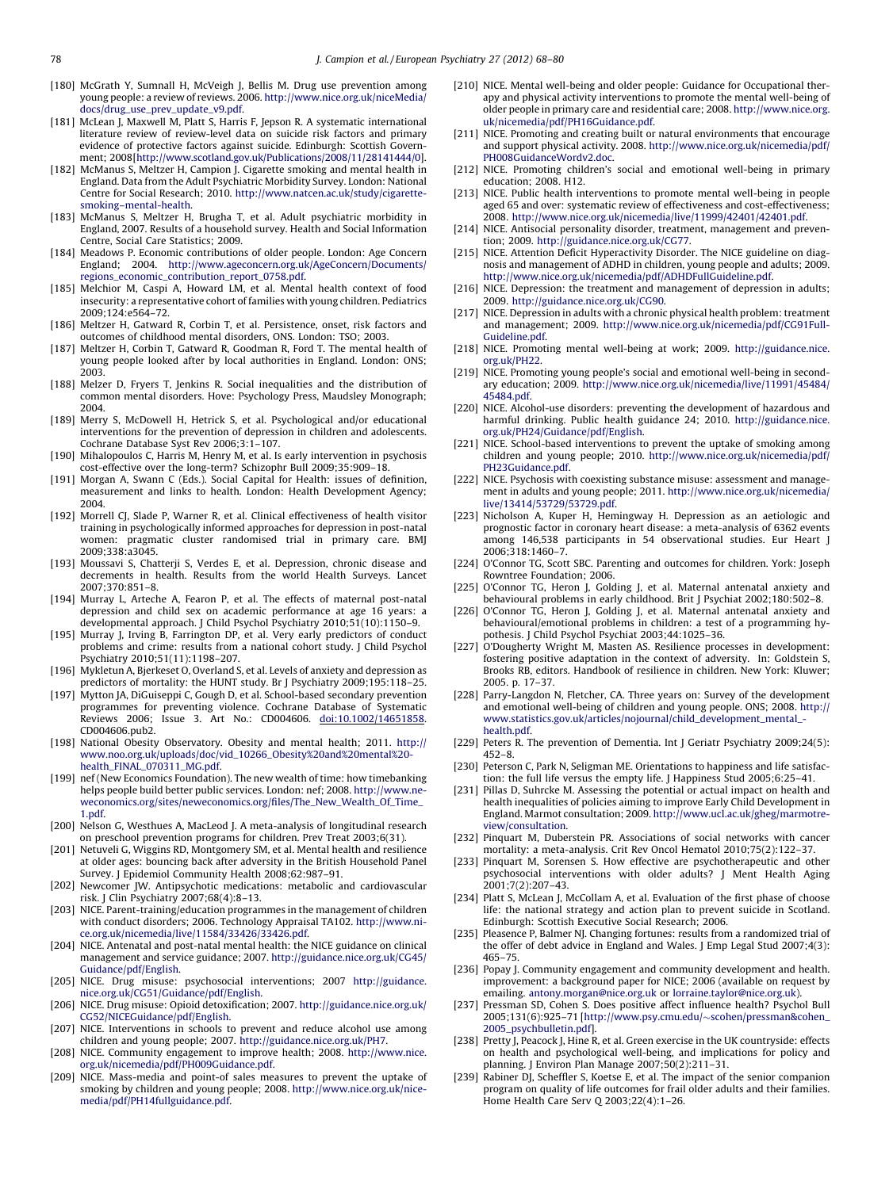- <span id="page-10-0"></span>[180] McGrath Y, Sumnall H, McVeigh J, Bellis M. Drug use prevention among young people: a review of reviews. 2006. [http://www.nice.org.uk/niceMedia/](http://www.nice.org.uk/niceMedia/docs/drug_use_prev_update_v9.pdf) [docs/drug\\_use\\_prev\\_update\\_v9.pdf.](http://www.nice.org.uk/niceMedia/docs/drug_use_prev_update_v9.pdf)
- [181] McLean J, Maxwell M, Platt S, Harris F, Jepson R. A systematic international literature review of review-level data on suicide risk factors and primary evidence of protective factors against suicide. Edinburgh: Scottish Government; 2008[\[http://www.scotland.gov.uk/Publications/2008/11/28141444/0\]](http://www.scotland.gov.uk/Publications/2008/11/28141444/0).
- [182] McManus S, Meltzer H, Campion J. Cigarette smoking and mental health in England. Data from the Adult Psychiatric Morbidity Survey. London: National Centre for Social Research; 2010. [http://www.natcen.ac.uk/study/cigarette](http://www.natcen.ac.uk/study/cigarette-smoking--mental-health)[smoking–mental-health.](http://www.natcen.ac.uk/study/cigarette-smoking--mental-health)
- [183] McManus S, Meltzer H, Brugha T, et al. Adult psychiatric morbidity in England, 2007. Results of a household survey. Health and Social Information Centre, Social Care Statistics; 2009.
- [184] Meadows P. Economic contributions of older people. London: Age Concern England; 2004. [http://www.ageconcern.org.uk/AgeConcern/Documents/](http://www.ageconcern.org.uk/AgeConcern/Documents/regions_economic_contribution_report_0758.pdf) [regions\\_economic\\_contribution\\_report\\_0758.pdf.](http://www.ageconcern.org.uk/AgeConcern/Documents/regions_economic_contribution_report_0758.pdf)
- [185] Melchior M, Caspi A, Howard LM, et al. Mental health context of food insecurity: a representative cohort of families with young children. Pediatrics 2009;124:e564–72.
- [186] Meltzer H, Gatward R, Corbin T, et al. Persistence, onset, risk factors and outcomes of childhood mental disorders, ONS. London: TSO; 2003.
- [187] Meltzer H, Corbin T, Gatward R, Goodman R, Ford T. The mental health of young people looked after by local authorities in England. London: ONS; 2003.
- [188] Melzer D, Fryers T, Jenkins R. Social inequalities and the distribution of common mental disorders. Hove: Psychology Press, Maudsley Monograph; 2004.
- [189] Merry S, McDowell H, Hetrick S, et al. Psychological and/or educational interventions for the prevention of depression in children and adolescents. Cochrane Database Syst Rev 2006;3:1–107.
- [190] Mihalopoulos C, Harris M, Henry M, et al. Is early intervention in psychosis cost-effective over the long-term? Schizophr Bull 2009;35:909–18.
- [191] Morgan A, Swann C (Eds.). Social Capital for Health: issues of definition, measurement and links to health. London: Health Development Agency; 2004.
- [192] Morrell CJ, Slade P, Warner R, et al. Clinical effectiveness of health visitor training in psychologically informed approaches for depression in post-natal women: pragmatic cluster randomised trial in primary care. BMJ 2009;338:a3045.
- [193] Moussavi S, Chatterji S, Verdes E, et al. Depression, chronic disease and decrements in health. Results from the world Health Surveys. Lancet 2007;370:851–8.
- [194] Murray L, Arteche A, Fearon P, et al. The effects of maternal post-natal depression and child sex on academic performance at age 16 years: a developmental approach. J Child Psychol Psychiatry 2010;51(10):1150–9.
- [195] Murray J, Irving B, Farrington DP, et al. Very early predictors of conduct problems and crime: results from a national cohort study. J Child Psychol Psychiatry 2010;51(11):1198–207.
- [196] Mykletun A, Bjerkeset O, Overland S, et al. Levels of anxiety and depression as predictors of mortality: the HUNT study. Br J Psychiatry 2009;195:118–25.
- [197] Mytton JA, DiGuiseppi C, Gough D, et al. School-based secondary prevention programmes for preventing violence. Cochrane Database of Systematic Reviews 2006; Issue 3. Art No.: CD004606. [doi:10.1002/14651858.](http://dx.doi.org/10.1002/14651858) [CD004606.pub2.](http://dx.doi.org/10.1002/14651858)
- [198] National Obesity Observatory. Obesity and mental health; 2011. [http://](http://www.noo.org.uk/uploads/doc/vid_10266_Obesity%20and%20mental%20health_FINAL_070311_MG.pdf) [www.noo.org.uk/uploads/doc/vid\\_10266\\_Obesity%20and%20mental%20](http://www.noo.org.uk/uploads/doc/vid_10266_Obesity%20and%20mental%20health_FINAL_070311_MG.pdf) [health\\_FINAL\\_070311\\_MG.pdf.](http://www.noo.org.uk/uploads/doc/vid_10266_Obesity%20and%20mental%20health_FINAL_070311_MG.pdf)
- [199] nef (New Economics Foundation). The new wealth of time: how timebanking helps people build better public services. London: nef; 2008. [http://www.ne](http://www.neweconomics.org/sites/neweconomics.org/files/The_New_Wealth_Of_Time_1.pdf)[weconomics.org/sites/neweconomics.org/files/The\\_New\\_Wealth\\_Of\\_Time\\_](http://www.neweconomics.org/sites/neweconomics.org/files/The_New_Wealth_Of_Time_1.pdf) [1.pdf.](http://www.neweconomics.org/sites/neweconomics.org/files/The_New_Wealth_Of_Time_1.pdf)
- [200] Nelson G, Westhues A, MacLeod J. A meta-analysis of longitudinal research on preschool prevention programs for children. Prev Treat 2003;6(31).
- [201] Netuveli G, Wiggins RD, Montgomery SM, et al. Mental health and resilience at older ages: bouncing back after adversity in the British Household Panel Survey. J Epidemiol Community Health 2008;62:987–91.
- [202] Newcomer JW. Antipsychotic medications: metabolic and cardiovascular risk. J Clin Psychiatry 2007;68(4):8–13.
- [203] NICE. Parent-training/education programmes in the management of children with conduct disorders; 2006. Technology Appraisal TA102. [http://www.ni](http://www.nice.org.uk/nicemedia/live/11584/33426/33426.pdf)[ce.org.uk/nicemedia/live/11584/33426/33426.pdf.](http://www.nice.org.uk/nicemedia/live/11584/33426/33426.pdf)
- [204] NICE. Antenatal and post-natal mental health: the NICE guidance on clinical management and service guidance; 2007. [http://guidance.nice.org.uk/CG45/](http://guidance.nice.org.uk/CG45/Guidance/pdf/English) [Guidance/pdf/English.](http://guidance.nice.org.uk/CG45/Guidance/pdf/English)
- [205] NICE. Drug misuse: psychosocial interventions; 2007 [http://guidance.](http://guidance.nice.org.uk/CG51/Guidance/pdf/English) [nice.org.uk/CG51/Guidance/pdf/English.](http://guidance.nice.org.uk/CG51/Guidance/pdf/English)
- [206] NICE. Drug misuse: Opioid detoxification; 2007. [http://guidance.nice.org.uk/](http://guidance.nice.org.uk/CG52/NICEGuidance/pdf/English) [CG52/NICEGuidance/pdf/English.](http://guidance.nice.org.uk/CG52/NICEGuidance/pdf/English)
- [207] NICE. Interventions in schools to prevent and reduce alcohol use among children and young people; 2007. [http://guidance.nice.org.uk/PH7.](http://guidance.nice.org.uk/PH7)
- [208] NICE. Community engagement to improve health; 2008. [http://www.nice.](http://www.nice.org.uk/nicemedia/pdf/PH009Guidance.pdf) [org.uk/nicemedia/pdf/PH009Guidance.pdf.](http://www.nice.org.uk/nicemedia/pdf/PH009Guidance.pdf)
- [209] NICE. Mass-media and point-of sales measures to prevent the uptake of smoking by children and young people; 2008. [http://www.nice.org.uk/nice](http://www.nice.org.uk/nicemedia/pdf/PH14fullguidance.pdf)[media/pdf/PH14fullguidance.pdf.](http://www.nice.org.uk/nicemedia/pdf/PH14fullguidance.pdf)
- [210] NICE. Mental well-being and older people: Guidance for Occupational therapy and physical activity interventions to promote the mental well-being of older people in primary care and residential care; 2008. [http://www.nice.org.](http://www.nice.org.uk/nicemedia/pdf/PH16Guidance.pdf) [uk/nicemedia/pdf/PH16Guidance.pdf.](http://www.nice.org.uk/nicemedia/pdf/PH16Guidance.pdf)
- [211] NICE. Promoting and creating built or natural environments that encourage and support physical activity. 2008. [http://www.nice.org.uk/nicemedia/pdf/](http://www.nice.org.uk/nicemedia/pdf/PH008GuidanceWordv2.doc) [PH008GuidanceWordv2.doc.](http://www.nice.org.uk/nicemedia/pdf/PH008GuidanceWordv2.doc)
- [212] NICE. Promoting children's social and emotional well-being in primary education; 2008. H12.
- [213] NICE. Public health interventions to promote mental well-being in people aged 65 and over: systematic review of effectiveness and cost-effectiveness; 2008. [http://www.nice.org.uk/nicemedia/live/11999/42401/42401.pdf.](mailto:jonathan_campion@yahoo.co.uk)
- [214] NICE. Antisocial personality disorder, treatment, management and prevention; 2009. [http://guidance.nice.org.uk/CG77.](http://guidance.nice.org.uk/CG77)
- [215] NICE. Attention Deficit Hyperactivity Disorder. The NICE guideline on diagnosis and management of ADHD in children, young people and adults; 2009. [http://www.nice.org.uk/nicemedia/pdf/ADHDFullGuideline.pdf.](http://www.nice.org.uk/nicemedia/pdf/ADHDFullGuideline.pdf)
- [216] NICE. Depression: the treatment and management of depression in adults; 2009. [http://guidance.nice.org.uk/CG90.](http://guidance.nice.org.uk/CG90)
- [217] NICE. Depression in adults with a chronic physical health problem: treatment and management; 2009. [http://www.nice.org.uk/nicemedia/pdf/CG91Full-](http://www.nice.org.uk/nicemedia/pdf/CG91FullGuideline.pdf)[Guideline.pdf.](http://www.nice.org.uk/nicemedia/pdf/CG91FullGuideline.pdf)
- [218] NICE. Promoting mental well-being at work; 2009. [http://guidance.nice.](http://guidance.nice.org.uk/PH22) [org.uk/PH22.](http://guidance.nice.org.uk/PH22)
- [219] NICE. Promoting young people's social and emotional well-being in secondary education; 2009. [http://www.nice.org.uk/nicemedia/live/11991/45484/](http://www.nice.org.uk/nicemedia/live/11991/45484/45484.pdf) [45484.pdf.](http://www.nice.org.uk/nicemedia/live/11991/45484/45484.pdf)
- [220] NICE. Alcohol-use disorders: preventing the development of hazardous and harmful drinking. Public health guidance 24; 2010. [http://guidance.nice.](http://guidance.nice.org.uk/PH24/Guidance/pdf/English) [org.uk/PH24/Guidance/pdf/English.](http://guidance.nice.org.uk/PH24/Guidance/pdf/English)
- [221] NICE. School-based interventions to prevent the uptake of smoking among children and young people; 2010. [http://www.nice.org.uk/nicemedia/pdf/](http://www.nice.org.uk/nicemedia/pdf/PH23Guidance.pdf) [PH23Guidance.pdf.](http://www.nice.org.uk/nicemedia/pdf/PH23Guidance.pdf)
- [222] NICE. Psychosis with coexisting substance misuse: assessment and management in adults and young people; 2011. [http://www.nice.org.uk/nicemedia/](http://www.nice.org.uk/nicemedia/live/13414/53729/53729.pdf) [live/13414/53729/53729.pdf.](http://www.nice.org.uk/nicemedia/live/13414/53729/53729.pdf)
- [223] Nicholson A, Kuper H, Hemingway H. Depression as an aetiologic and prognostic factor in coronary heart disease: a meta-analysis of 6362 events among 146,538 participants in 54 observational studies. Eur Heart J 2006;318:1460–7.
- [224] O'Connor TG, Scott SBC. Parenting and outcomes for children. York: Joseph Rowntree Foundation; 2006.
- [225] O'Connor TG, Heron J, Golding J, et al. Maternal antenatal anxiety and behavioural problems in early childhood. Brit J Psychiat 2002;180:502–8.
- [226] O'Connor TG, Heron J, Golding J, et al. Maternal antenatal anxiety and behavioural/emotional problems in children: a test of a programming hypothesis. J Child Psychol Psychiat 2003;44:1025–36.
- [227] O'Dougherty Wright M, Masten AS. Resilience processes in development: fostering positive adaptation in the context of adversity. In: Goldstein S, Brooks RB, editors. Handbook of resilience in children. New York: Kluwer; 2005. p. 17–37.
- [228] Parry-Langdon N, Fletcher, CA. Three years on: Survey of the development and emotional well-being of children and young people. ONS; 2008. [http://](http://www.statistics.gov.uk/articles/nojournal/child_development_mental_health.pdf) [www.statistics.gov.uk/articles/nojournal/child\\_development\\_mental\\_](http://www.statistics.gov.uk/articles/nojournal/child_development_mental_health.pdf) [health.pdf.](http://www.statistics.gov.uk/articles/nojournal/child_development_mental_health.pdf)
- [229] Peters R. The prevention of Dementia. Int J Geriatr Psychiatry 2009;24(5): 452–8.
- [230] Peterson C, Park N, Seligman ME. Orientations to happiness and life satisfaction: the full life versus the empty life. J Happiness Stud 2005;6:25–41.
- [231] Pillas D, Suhrcke M. Assessing the potential or actual impact on health and health inequalities of policies aiming to improve Early Child Development in England. Marmot consultation; 2009. [http://www.ucl.ac.uk/gheg/marmotre](http://www.ucl.ac.uk/gheg/marmotreview/consultation)[view/consultation.](http://www.ucl.ac.uk/gheg/marmotreview/consultation)
- [232] Pinquart M, Duberstein PR. Associations of social networks with cancer mortality: a meta-analysis. Crit Rev Oncol Hematol 2010;75(2):122–37.
- [233] Pinquart M, Sorensen S. How effective are psychotherapeutic and other psychosocial interventions with older adults? J Ment Health Aging 2001;7(2):207–43.
- [234] Platt S, McLean J, McCollam A, et al. Evaluation of the first phase of choose life: the national strategy and action plan to prevent suicide in Scotland. Edinburgh: Scottish Executive Social Research; 2006.
- [235] Pleasence P, Balmer NJ. Changing fortunes: results from a randomized trial of the offer of debt advice in England and Wales. J Emp Legal Stud 2007;4(3): 465–75.
- [236] Popay J. Community engagement and community development and health. improvement: a background paper for NICE; 2006 (available on request by emailing. antony.morgan@nice.org.uk or [lorraine.taylor@nice.org.uk\).](mailto:lorraine.taylor@nice.org.uk)
- [237] Pressman SD, Cohen S. Does positive affect influence health? Psychol Bull 2005;131(6):925-71 [[http://www.psy.cmu.edu/](http://www.psy.cmu.edu/~scohen/pressman%26cohen_2005_psychbulletin.pdf)~[scohen/pressman&cohen\\_](http://www.psy.cmu.edu/~scohen/pressman%26cohen_2005_psychbulletin.pdf) [2005\\_psychbulletin.pdf](http://www.psy.cmu.edu/~scohen/pressman%26cohen_2005_psychbulletin.pdf)].
- [238] Pretty J, Peacock J, Hine R, et al. Green exercise in the UK countryside: effects on health and psychological well-being, and implications for policy and planning. J Environ Plan Manage 2007;50(2):211–31.
- [239] Rabiner DJ, Scheffler S, Koetse E, et al. The impact of the senior companion program on quality of life outcomes for frail older adults and their families. Home Health Care Serv Q 2003;22(4):1–26.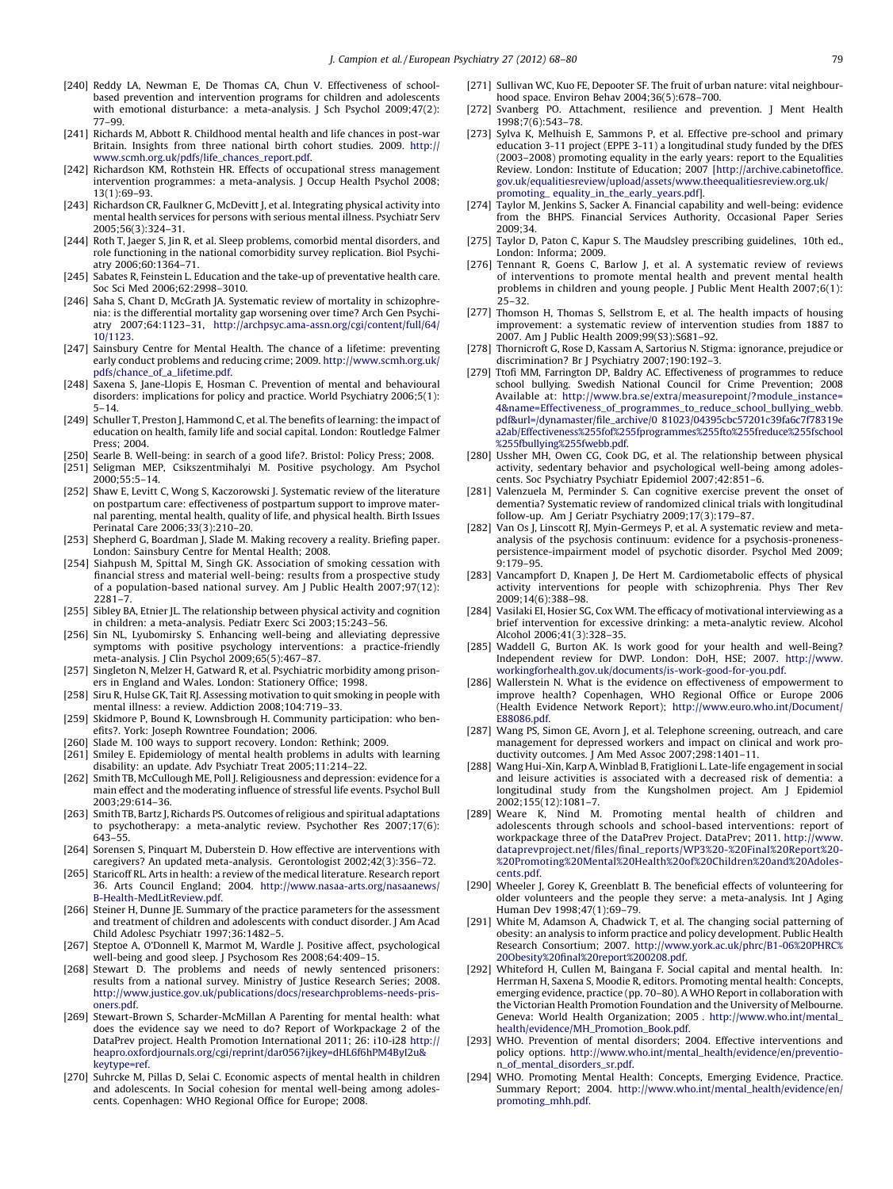- <span id="page-11-0"></span>[240] Reddy LA, Newman E, De Thomas CA, Chun V. Effectiveness of schoolbased prevention and intervention programs for children and adolescents with emotional disturbance: a meta-analysis. J Sch Psychol 2009;47(2): 77–99.
- [241] Richards M, Abbott R. Childhood mental health and life chances in post-war Britain. Insights from three national birth cohort studies. 2009. [http://](http://www.scmh.org.uk/pdfs/life_chances_report.pdf) [www.scmh.org.uk/pdfs/life\\_chances\\_report.pdf.](http://www.scmh.org.uk/pdfs/life_chances_report.pdf)
- [242] Richardson KM, Rothstein HR. Effects of occupational stress management intervention programmes: a meta-analysis. J Occup Health Psychol 2008; 13(1):69–93.
- [243] Richardson CR, Faulkner G, McDevitt J, et al. Integrating physical activity into mental health services for persons with serious mental illness. Psychiatr Serv 2005;56(3):324–31.
- [244] Roth T, Jaeger S, Jin R, et al. Sleep problems, comorbid mental disorders, and role functioning in the national comorbidity survey replication. Biol Psychiatry 2006;60:1364–71.
- [245] Sabates R, Feinstein L. Education and the take-up of preventative health care. Soc Sci Med 2006;62:2998–3010.
- [246] Saha S, Chant D, McGrath JA. Systematic review of mortality in schizophrenia: is the differential mortality gap worsening over time? Arch Gen Psychiatry 2007;64:1123–31, [http://archpsyc.ama-assn.org/cgi/content/full/64/](http://archpsyc.ama-assn.org/cgi/content/full/64/10/1123) [10/1123.](http://archpsyc.ama-assn.org/cgi/content/full/64/10/1123)
- [247] Sainsbury Centre for Mental Health. The chance of a lifetime: preventing early conduct problems and reducing crime; 2009. [http://www.scmh.org.uk/](http://www.scmh.org.uk/pdfs/chance_of_a_lifetime.pdf) [pdfs/chance\\_of\\_a\\_lifetime.pdf.](http://www.scmh.org.uk/pdfs/chance_of_a_lifetime.pdf)
- [248] Saxena S, Jane-Llopis E, Hosman C. Prevention of mental and behavioural disorders: implications for policy and practice. World Psychiatry 2006;5(1): 5–14.
- [249] Schuller T, Preston J, Hammond C, et al. The benefits of learning: the impact of education on health, family life and social capital. London: Routledge Falmer Press; 2004.
- [250] Searle B. Well-being: in search of a good life?. Bristol: Policy Press; 2008.
- [251] Seligman MEP, Csikszentmihalyi M. Positive psychology. Am Psychol 2000;55:5–14.
- [252] Shaw E, Levitt C, Wong S, Kaczorowski J. Systematic review of the literature on postpartum care: effectiveness of postpartum support to improve maternal parenting, mental health, quality of life, and physical health. Birth Issues Perinatal Care 2006;33(3):210–20.
- [253] Shepherd G, Boardman J, Slade M. Making recovery a reality. Briefing paper. London: Sainsbury Centre for Mental Health; 2008.
- [254] Siahpush M, Spittal M, Singh GK. Association of smoking cessation with financial stress and material well-being: results from a prospective study of a population-based national survey. Am J Public Health 2007;97(12): 2281–7.
- [255] Sibley BA, Etnier JL. The relationship between physical activity and cognition in children: a meta-analysis. Pediatr Exerc Sci 2003;15:243–56.
- [256] Sin NL, Lyubomirsky S. Enhancing well-being and alleviating depressive symptoms with positive psychology interventions: a practice-friendly meta-analysis. J Clin Psychol 2009;65(5):467–87.
- [257] Singleton N, Melzer H, Gatward R, et al. Psychiatric morbidity among prisoners in England and Wales. London: Stationery Office; 1998.
- [258] Siru R, Hulse GK, Tait RJ. Assessing motivation to quit smoking in people with mental illness: a review. Addiction 2008;104:719–33.
- [259] Skidmore P, Bound K, Lownsbrough H. Community participation: who benefits?. York: Joseph Rowntree Foundation; 2006.
- [260] Slade M. 100 ways to support recovery. London: Rethink; 2009.
- [261] Smiley E. Epidemiology of mental health problems in adults with learning disability: an update. Adv Psychiatr Treat 2005;11:214–22.
- [262] Smith TB, McCullough ME, Poll J. Religiousness and depression: evidence for a main effect and the moderating influence of stressful life events. Psychol Bull 2003;29:614–36.
- [263] Smith TB, Bartz J, Richards PS. Outcomes of religious and spiritual adaptations to psychotherapy: a meta-analytic review. Psychother Res 2007;17(6): 643–55.
- [264] Sorensen S, Pinquart M, Duberstein D. How effective are interventions with caregivers? An updated meta-analysis. Gerontologist 2002;42(3):356–72.
- [265] Staricoff RL. Arts in health: a review of the medical literature. Research report 36. Arts Council England; 2004. [http://www.nasaa-arts.org/nasaanews/](http://www.nasaa-arts.org/nasaanews/B-Health-MedLitReview.pdf) [B-Health-MedLitReview.pdf.](http://www.nasaa-arts.org/nasaanews/B-Health-MedLitReview.pdf)
- [266] Steiner H, Dunne JE. Summary of the practice parameters for the assessment and treatment of children and adolescents with conduct disorder. J Am Acad Child Adolesc Psychiatr 1997;36:1482–5.
- [267] Steptoe A, O'Donnell K, Marmot M, Wardle J. Positive affect, psychological well-being and good sleep. J Psychosom Res 2008;64:409–15.
- [268] Stewart D. The problems and needs of newly sentenced prisoners: results from a national survey. Ministry of Justice Research Series; 2008. [http://www.justice.gov.uk/publications/docs/researchproblems-needs-pris](http://www.justice.gov.uk/publications/docs/researchproblems-needs-prisoners.pdf)[oners.pdf.](http://www.justice.gov.uk/publications/docs/researchproblems-needs-prisoners.pdf)
- [269] Stewart-Brown S, Scharder-McMillan A Parenting for mental health: what does the evidence say we need to do? Report of Workpackage 2 of the DataPrev project. Health Promotion International 2011; 26: i10-i28 [http://](http://heapro.oxfordjournals.org/cgi/reprint/dar056%3Fijkey=dHL6f6hPM4ByI2u%26keytype=ref) [heapro.oxfordjournals.org/cgi/reprint/dar056?ijkey=dHL6f6hPM4ByI2u&](http://heapro.oxfordjournals.org/cgi/reprint/dar056%3Fijkey=dHL6f6hPM4ByI2u%26keytype=ref) [keytype=ref.](http://heapro.oxfordjournals.org/cgi/reprint/dar056%3Fijkey=dHL6f6hPM4ByI2u%26keytype=ref)
- [270] Suhrcke M, Pillas D, Selai C. Economic aspects of mental health in children and adolescents. In Social cohesion for mental well-being among adolescents. Copenhagen: WHO Regional Office for Europe; 2008.
- [271] Sullivan WC, Kuo FE, Depooter SF. The fruit of urban nature: vital neighbourhood space. Environ Behav 2004;36(5):678–700.
- [272] Svanberg PO. Attachment, resilience and prevention. J Ment Health 1998;7(6):543–78.
- [273] Sylva K, Melhuish E, Sammons P, et al. Effective pre-school and primary education 3-11 project (EPPE 3-11) a longitudinal study funded by the DfES (2003–2008) promoting equality in the early years: report to the Equalities Review. London: Institute of Education; 2007 [[http://archive.cabinetoffice.](http://archive.cabinetoffice.gov.uk/equalitiesreview/upload/assets/www.%20theequalitiesreview.org.uk/promoting_%20equality_in_the_early_years.pdf) [gov.uk/equalitiesreview/upload/assets/www.theequalitiesreview.org.uk/](http://archive.cabinetoffice.gov.uk/equalitiesreview/upload/assets/www.%20theequalitiesreview.org.uk/promoting_%20equality_in_the_early_years.pdf) promoting\_ [equality\\_in\\_the\\_early\\_years.pdf](http://archive.cabinetoffice.gov.uk/equalitiesreview/upload/assets/www.%20theequalitiesreview.org.uk/promoting_%20equality_in_the_early_years.pdf)].
- [274] Taylor M, Jenkins S, Sacker A. Financial capability and well-being: evidence from the BHPS. Financial Services Authority, Occasional Paper Series 2009;34.
- [275] Taylor D, Paton C, Kapur S. The Maudsley prescribing guidelines, 10th ed., London: Informa; 2009.
- [276] Tennant R, Goens C, Barlow J, et al. A systematic review of reviews of interventions to promote mental health and prevent mental health problems in children and young people. J Public Ment Health 2007;6(1): 25–32.
- [277] Thomson H, Thomas S, Sellstrom E, et al. The health impacts of housing improvement: a systematic review of intervention studies from 1887 to 2007. Am J Public Health 2009;99(S3):S681–92.
- [278] Thornicroft G, Rose D, Kassam A, Sartorius N. Stigma: ignorance, prejudice or discrimination? Br J Psychiatry 2007;190:192–3.
- [279] Ttofi MM, Farrington DP, Baldry AC. Effectiveness of programmes to reduce school bullying. Swedish National Council for Crime Prevention; 2008 Available at: [http://www.bra.se/extra/measurepoint/?module\\_instance=](http://www.bra.se/extra/measurepoint/%3Fmodule_%20instance=4%26name=Effectiveness_of_%20programmes_to_reduce_school_bullying_%20webb.pdf%26url=/dynamaster/file_archive/0%2081023/04395cbc57201c39fa6c7f78319e%20a2ab/Effectiveness%255fof%255fprogra%20mmes%255fto%255freduce%255fschoo%20l%255fbullying%255fwebb.pdf) [4&name=Effectiveness\\_of\\_programmes\\_to\\_reduce\\_school\\_bullying\\_webb.](http://www.bra.se/extra/measurepoint/%3Fmodule_%20instance=4%26name=Effectiveness_of_%20programmes_to_reduce_school_bullying_%20webb.pdf%26url=/dynamaster/file_archive/0%2081023/04395cbc57201c39fa6c7f78319e%20a2ab/Effectiveness%255fof%255fprogra%20mmes%255fto%255freduce%255fschoo%20l%255fbullying%255fwebb.pdf) pdf&url=/dynamaster/file\_archive/0 [81023/04395cbc57201c39fa6c7f78319e](http://www.bra.se/extra/measurepoint/%3Fmodule_%20instance=4%26name=Effectiveness_of_%20programmes_to_reduce_school_bullying_%20webb.pdf%26url=/dynamaster/file_archive/0%2081023/04395cbc57201c39fa6c7f78319e%20a2ab/Effectiveness%255fof%255fprogra%20mmes%255fto%255freduce%255fschoo%20l%255fbullying%255fwebb.pdf) [a2ab/Effectiveness%255fof%255fprogrammes%255fto%255freduce%255fschool](http://www.bra.se/extra/measurepoint/%3Fmodule_%20instance=4%26name=Effectiveness_of_%20programmes_to_reduce_school_bullying_%20webb.pdf%26url=/dynamaster/file_archive/0%2081023/04395cbc57201c39fa6c7f78319e%20a2ab/Effectiveness%255fof%255fprogra%20mmes%255fto%255freduce%255fschoo%20l%255fbullying%255fwebb.pdf) [%255fbullying%255fwebb.pdf.](http://www.bra.se/extra/measurepoint/%3Fmodule_%20instance=4%26name=Effectiveness_of_%20programmes_to_reduce_school_bullying_%20webb.pdf%26url=/dynamaster/file_archive/0%2081023/04395cbc57201c39fa6c7f78319e%20a2ab/Effectiveness%255fof%255fprogra%20mmes%255fto%255freduce%255fschoo%20l%255fbullying%255fwebb.pdf)
- [280] Ussher MH, Owen CG, Cook DG, et al. The relationship between physical activity, sedentary behavior and psychological well-being among adolescents. Soc Psychiatry Psychiatr Epidemiol 2007;42:851–6.
- [281] Valenzuela M, Perminder S. Can cognitive exercise prevent the onset of dementia? Systematic review of randomized clinical trials with longitudinal follow-up. Am J Geriatr Psychiatry 2009;17(3):179–87.
- [282] Van Os J, Linscott RJ, Myin-Germeys P, et al. A systematic review and metaanalysis of the psychosis continuum: evidence for a psychosis-pronenesspersistence-impairment model of psychotic disorder. Psychol Med 2009; 9:179–95.
- [283] Vancampfort D, Knapen J, De Hert M. Cardiometabolic effects of physical activity interventions for people with schizophrenia. Phys Ther Rev 2009;14(6):388–98.
- [284] Vasilaki EI, Hosier SG, Cox WM. The efficacy of motivational interviewing as a brief intervention for excessive drinking: a meta-analytic review. Alcohol Alcohol 2006;41(3):328–35.
- [285] Waddell G, Burton AK. Is work good for your health and well-Being? Independent review for DWP. London: DoH, HSE; 2007. [http://www.](http://www.workingforhealth.gov.uk/documents/is-work-good-for-you.pdf) [workingforhealth.gov.uk/documents/is-work-good-for-you.pdf.](http://www.workingforhealth.gov.uk/documents/is-work-good-for-you.pdf)
- [286] Wallerstein N. What is the evidence on effectiveness of empowerment to improve health? Copenhagen, WHO Regional Office or Europe 2006 (Health Evidence Network Report); [http://www.euro.who.int/Document/](http://www.euro.who.int/Document/E88086.pdf) [E88086.pdf.](http://www.euro.who.int/Document/E88086.pdf)
- [287] Wang PS, Simon GE, Avorn J, et al. Telephone screening, outreach, and care management for depressed workers and impact on clinical and work productivity outcomes. J Am Med Assoc 2007;298:1401–11.
- [288] Wang Hui-Xin, Karp A, Winblad B, Fratiglioni L. Late-life engagement in social and leisure activities is associated with a decreased risk of dementia: a longitudinal study from the Kungsholmen project. Am J Epidemiol 2002;155(12):1081–7.
- [289] Weare K, Nind M. Promoting mental health of children and adolescents through schools and school-based interventions: report of workpackage three of the DataPrev Project. DataPrev; 2011. [http://www.](http://www.dataprevproject.net/files/final_reports/WP3%20-%20Final%20Report%20-%20Promoting%20Mental%20Health%20of%20Children%20and%20Adolescents.pdf) [dataprevproject.net/files/final\\_reports/WP3%20-%20Final%20Report%20-](http://www.dataprevproject.net/files/final_reports/WP3%20-%20Final%20Report%20-%20Promoting%20Mental%20Health%20of%20Children%20and%20Adolescents.pdf) [%20Promoting%20Mental%20Health%20of%20Children%20and%20Adoles](http://www.dataprevproject.net/files/final_reports/WP3%20-%20Final%20Report%20-%20Promoting%20Mental%20Health%20of%20Children%20and%20Adolescents.pdf)[cents.pdf.](http://www.dataprevproject.net/files/final_reports/WP3%20-%20Final%20Report%20-%20Promoting%20Mental%20Health%20of%20Children%20and%20Adolescents.pdf)
- [290] Wheeler J, Gorey K, Greenblatt B. The beneficial effects of volunteering for older volunteers and the people they serve: a meta-analysis. Int J Aging Human Dev 1998;47(1):69–79.
- [291] White M, Adamson A, Chadwick T, et al. The changing social patterning of obesity: an analysis to inform practice and policy development. Public Health Research Consortium; 2007. [http://www.york.ac.uk/phrc/B1-06%20PHRC%](http://www.york.ac.uk/phrc/B1-06%20PHRC%20Obesity%20final%20report%200208.pdf) [20Obesity%20final%20report%200208.pdf.](http://www.york.ac.uk/phrc/B1-06%20PHRC%20Obesity%20final%20report%200208.pdf)
- [292] Whiteford H, Cullen M, Baingana F. Social capital and mental health. In: Herrman H, Saxena S, Moodie R, editors. Promoting mental health: Concepts, emerging evidence, practice (pp. 70–80). A WHO Report in collaboration with the Victorian Health Promotion Foundation and the University of Melbourne. Geneva: World Health Organization; 2005 . [http://www.who.int/mental\\_](http://www.who.int/mental_health/evidence/MH_Promotion_Book.pdf) [health/evidence/MH\\_Promotion\\_Book.pdf](http://www.who.int/mental_health/evidence/MH_Promotion_Book.pdf).
- [293] WHO. Prevention of mental disorders; 2004. Effective interventions and policy options. [http://www.who.int/mental\\_health/evidence/en/preventio](http://www.who.int/mental_health/evidence/en/prevention_of_mental_disorders_sr.pdf)[n\\_of\\_mental\\_disorders\\_sr.pdf.](http://www.who.int/mental_health/evidence/en/prevention_of_mental_disorders_sr.pdf)
- [294] WHO. Promoting Mental Health: Concepts, Emerging Evidence, Practice. Summary Report; 2004. [http://www.who.int/mental\\_health/evidence/en/](http://www.who.int/mental_health/evidence/en/promoting_mhh.pdf) [promoting\\_mhh.pdf.](http://www.who.int/mental_health/evidence/en/promoting_mhh.pdf)